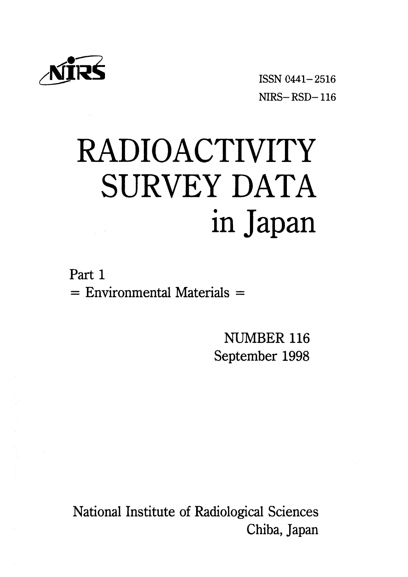

∠感議 ISSNO441-2516 NIRS-RSD-116

# RADIOACTIVITY SURVEY DATA in Japan

Part 1  $=$  Environmental Materials  $=$ 

> NUMBER 116 September 1998

National Institute of Radiological Sciences Chiba, Japan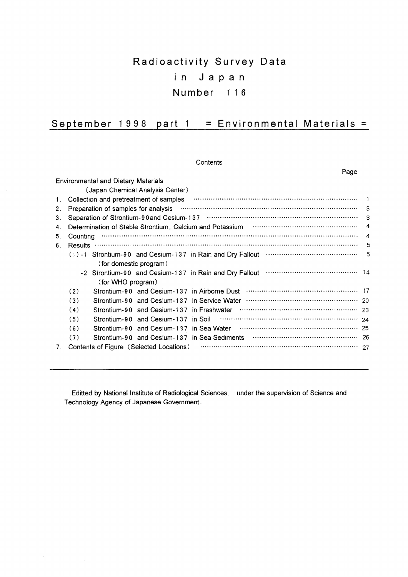# Radioactivity Survey Data in Japan Number 116

# September 1998 part 1 = Environmental Materials =

Contents

|         | Page                                                                                                                                                                       |                        |
|---------|----------------------------------------------------------------------------------------------------------------------------------------------------------------------------|------------------------|
|         | <b>Environmental and Dietary Materials</b>                                                                                                                                 |                        |
|         | (Japan Chemical Analysis Center)                                                                                                                                           |                        |
| $1_{-}$ | Collection and pretreatment of samples <b>continuum contract to an article contract of samples</b>                                                                         |                        |
| 2.      | Preparation of samples for analysis www.communically.com/non-municipality-                                                                                                 |                        |
| 3.      |                                                                                                                                                                            | З                      |
| 4.      | Determination of Stable Strontium, Calcium and Potassium material content content of Stable Strontium, Calcium and Potassium material content content of Stable Strontium, | $\overline{4}$         |
| 5.      | Counting                                                                                                                                                                   | $\boldsymbol{\Lambda}$ |
| 6.      |                                                                                                                                                                            | .5                     |
|         | (1) -1 Strontium-90 and Cesium-137 in Rain and Dry Fallout mummum contains the control of                                                                                  | 5                      |
|         | (for domestic program)                                                                                                                                                     |                        |
|         |                                                                                                                                                                            |                        |
|         | (for WHO program)                                                                                                                                                          |                        |
|         | (2)                                                                                                                                                                        |                        |
|         | (3)                                                                                                                                                                        |                        |
|         | (4)<br>Strontium-90 and Cesium-137 in Freshwater                                                                                                                           |                        |
|         | (5)                                                                                                                                                                        |                        |
|         | (6)                                                                                                                                                                        |                        |
|         | (7)                                                                                                                                                                        |                        |
| 7.      | Contents of Figure (Selected Locations)                                                                                                                                    |                        |

Editted by National Institute of Radiological Sciences, under the supervision of Science and Technology Agency of Japanese Government.

 $\ddot{\phantom{a}}$ 

 $\mathcal{A}^{\pm}$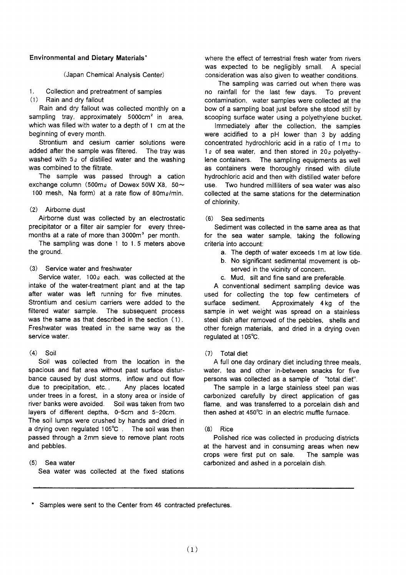## **Environmental and Dietary Materials'**

## (Japan Chemical Analysis Center)

Collection and pretreatment of samples  $1<sup>1</sup>$ 

 $(1)$ Rain and dry fallout

Rain and dry fallout was collected monthly on a sampling tray, approximately 5000cm<sup>2</sup> in area, which was filled with water to a depth of 1 cm at the beginning of every month.

Strontium and cesium carrier solutions were added after the sample was filtered. The tray was washed with  $5\varrho$  of distilled water and the washing was combined to the filtrate.

The sample was passed through a cation exchange column (500m<sub>2</sub> of Dowex 50W X8, 50 $\sim$ 100 mesh. Na form) at a rate flow of  $80 \text{m/s/min}$ 

## (2) Airborne dust

Airborne dust was collected by an electrostatic precipitator or a filter air sampler for every threemonths at a rate of more than 3000m<sup>3</sup> per month.

The sampling was done 1 to 1.5 meters above the ground.

## (3) Service water and freshwater

Service water,  $100\rho$  each. was collected at the intake of the water-treatment plant and at the tap after water was left running for five minutes. Strontium and cesium carriers were added to the filtered water sample. The subsequent process was the same as that described in the section (1). Freshwater was treated in the same way as the service water.

## $(4)$  Soil

Soil was collected from the location in the spacious and flat area without past surface disturbance caused by dust storms, inflow and out flow due to precipitation, etc... Any places located under trees in a forest, in a stony area or inside of river banks were avoided. Soil was taken from two layers of different depths, 0-5cm and 5-20cm.

The soil lumps were crushed by hands and dried in a drying oven regulated 105°C. The soil was then passed through a 2mm sieve to remove plant roots and pebbles.

## $(5)$  Sea water

Sea water was collected at the fixed stations

where the effect of terrestrial fresh water from rivers was expected to be negligibly small. A special consideration was also given to weather conditions.

The sampling was carried out when there was no rainfall for the last few days. To prevent contamination, water samples were collected at the bow of a sampling boat just before she stood still by scooping surface water using a polyethylene bucket.

Immediately after the collection, the samples were acidified to a pH lower than 3 by adding concentrated hydrochloric acid in a ratio of 1 me to  $1<sub>2</sub>$  of sea water, and then stored in 20<sub>2</sub> polyethylene containers. The sampling equipments as well as containers were thoroughly rinsed with dilute hydrochloric acid and then with distilled water before use. Two hundred milliliters of sea water was also collected at the same stations for the determination of chlorinity.

## $(6)$  Sea sediments

Sediment was collected in the same area as that for the sea water sample, taking the following criteria into account:

- a. The depth of water exceeds 1 m at low tide.
- b. No significant sedimental movement is observed in the vicinity of concern.
- c. Mud. silt and fine sand are preferable.

A conventional sediment sampling device was used for collecting the top few centimeters of surface sediment. Approximately 4kg of the sample in wet weight was spread on a stainless steel dish after removed of the pebbles, shells and other foreign materials, and dried in a drying oven regulated at 105°C.

## (7) Total diet

A full one day ordinary diet including three meals. water, tea and other in-between snacks for five persons was collected as a sample of "total diet".

The sample in a large stainless steel pan was carbonized carefully by direct application of gas flame, and was transferred to a porcelain dish and then ashed at 450°C in an electric muffle furnace.

## $(8)$  Rice

Polished rice was collected in producing districts at the harvest and in consuming areas when new crops were first put on sale. The sample was carbonized and ashed in a porcelain dish.

Samples were sent to the Center from 46 contracted prefectures.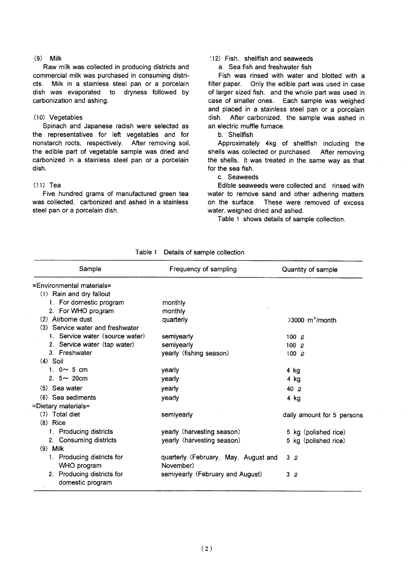## $(9)$  Milk

Raw milk was collected in producing districts and commercial milk was purchased in consuming districts. Milk in a stainless steel pan or a porcelain dish was evaporated to dryness followed by carbonization and ashing.

## (10) Vegetables

Spinach and Japanese radish were selected as the representatives for left vegetables and for nonstarch roots, respectively. After removing soil, the edible part of vegetable sample was dried and carbonized in a stainless steel pan or a porcelain dish.

## $(11)$  Tea

Five hundred grams of manufactured green tea was collected, carbonized and ashed in a stainless steel pan or a porcelain dish.

## (12) Fish shellfish and seaweeds

a. Sea fish and freshwater fish

Fish was rinsed with water and blotted with a filter paper. Only the edible part was used in case of larger sized fish, and the whole part was used in case of smaller ones. Each sample was weighed and placed in a stainless steel pan or a porcelain dish. After carbonized, the sample was ashed in an electric muffle furnace

## b. Shellfish

Approximately 4kg of shellfish including the shells was collected or purchased. After removing the shells, it was treated in the same way as that for the sea fish.

c. Seaweeds

Edible seaweeds were collected and rinsed with water to remove sand and other adhering matters on the surface. These were removed of excess water, weighed dried and ashed.

Table 1 shows details of sample collection.

| Sample                           | Frequency of sampling                | Quantity of sample            |
|----------------------------------|--------------------------------------|-------------------------------|
| =Environmental materials=        |                                      |                               |
| (1) Rain and dry fallout         |                                      |                               |
| 1. For domestic program          | monthly                              |                               |
| 2. For WHO program               | monthly                              |                               |
| (2) Airborne dust                | quarterly                            | $>3000$ m <sup>3</sup> /month |
| (3) Service water and freshwater |                                      |                               |
| 1. Service water (source water)  | semiyearly                           | 100 $\rho$                    |
| 2. Service water (tap water)     | semiyearly                           | 100 $\Omega$                  |
| 3. Freshwater                    | yearly (fishing season)              | 100 $\Omega$                  |
| $(4)$ Soil                       |                                      |                               |
| 1. $0 \sim 5$ cm                 | yearly                               | 4 kg                          |
| 2. $5 \sim 20$ cm                | yearly                               | 4 kg                          |
| $(5)$ Sea water                  | yearly                               | 40 $\Omega$                   |
| (6) Sea sediments                | yearly                               | 4 kg                          |
| =Dietary materials=              |                                      |                               |
| (7) Total diet                   | semiyearly                           | daily amount for 5 persons    |
| $(8)$ Rice                       |                                      |                               |
| 1. Producing districts           | yearly (harvesting season)           | 5 kg (polished rice)          |
| 2. Consuming districts           | yearly (harvesting season)           | 5 kg (polished rice)          |
| $(9)$ Milk                       |                                      |                               |
| 1. Producing districts for       | quarterly (February, May, August and | 3Q                            |
| WHO program                      | November)                            |                               |
| 2. Producing districts for       | semiyearly (February and August)     | 3Q                            |
| domestic program                 |                                      |                               |

## Table 1 Details of sample collection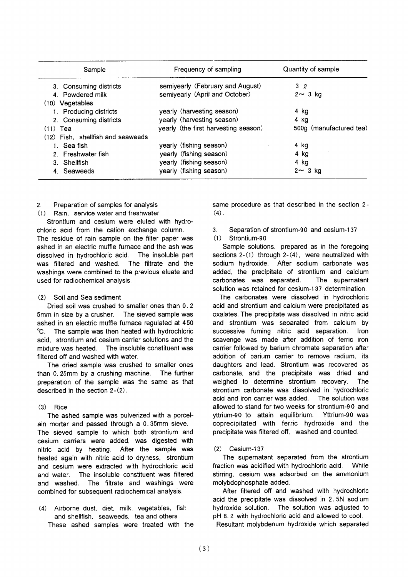| Sample                            | Frequency of sampling                | Quantity of sample      |
|-----------------------------------|--------------------------------------|-------------------------|
| 3. Consuming districts            | semiyearly (February and August)     | 3Q                      |
| 4. Powdered milk                  | semiyearly (April and October)       | $2 \sim 3$ kg           |
| $(10)$ Vegetables                 |                                      |                         |
| 1. Producing districts            | yearly (harvesting season)           | 4 ka                    |
| 2. Consuming districts            | yearly (harvesting season)           | 4 kg                    |
| $(11)$ Tea                        | yearly (the first harvesting season) | 500g (manufactured tea) |
| (12) Fish. shellfish and seaweeds |                                      |                         |
| 1. Sea fish                       | yearly (fishing season)              | 4 kg                    |
| 2. Freshwater fish                | yearly (fishing season)              | 4 kg                    |
| 3. Shellfish                      | yearly (fishing season)              | 4 kg                    |
| 4. Seaweeds                       | yearly (fishing season)              | $2 \sim 3$ kg           |

#### Preparation of samples for analysis  $\mathcal{P}$

(1) Rain, service water and freshwater

Strontium and cesium were eluted with hydrochloric acid from the cation exchange column. The residue of rain sample on the filter paper was ashed in an electric muffle furnace and the ash was dissolved in hydrochloric acid. The insoluble part was filtered and washed. The filtrate and the washings were combined to the previous eluate and used for radiochemical analysis.

#### Soil and Sea sediment  $(2)$

Dried soil was crushed to smaller ones than 0.2 5mm in size by a crusher. The sieved sample was ashed in an electric muffle furnace regulated at 450 °C. The sample was then heated with hydrochloric acid. strontium and cesium carrier solutions and the The insoluble constituent was mixture was heated. filtered off and washed with water.

The dried sample was crushed to smaller ones than 0.25mm by a crushing machine. The further preparation of the sample was the same as that described in the section  $2-(2)$ .

## $(3)$  Rice

The ashed sample was pulverized with a porcelain mortar and passed through a 0.35mm sieve. The sieved sample to which both strontium and cesium carriers were added, was digested with nitric acid by heating. After the sample was heated again with nitric acid to dryness, strontium and cesium were extracted with hydrochloric acid The insoluble constituent was filtered and water. and washed. The filtrate and washings were combined for subsequent radiochemical analysis.

(4) Airborne dust, diet, milk, vegetables, fish and shellfish, seaweeds, tea and others These ashed samples were treated with the same procedure as that described in the section 2- $(4)$ .

Separation of strontium-90 and cesium-137  $3<sub>1</sub>$ 

## $(1)$  Strontium-90

Sample solutions, prepared as in the foregoing sections  $2-(1)$  through  $2-(4)$ , were neutralized with sodium hydroxide. After sodium carbonate was added, the precipitate of strontium and calcium carbonates was separated. The supernatant solution was retained for cesium-137 determination.

The carbonates were dissolved in hydrochloric acid and strontium and calcium were precipitated as oxalates. The precipitate was dissolved in nitric acid and strontium was separated from calcium by successive fuming nitric acid separation. Iron scavenge was made after addition of ferric iron carrier followed by barium chromate separation after addition of barium carrier to remove radium, its daughters and lead. Strontium was recovered as carbonate, and the precipitate was dried and weighed to determine strontium recovery. The strontium carbonate was dissolved in hydrochloric acid and iron carrier was added. The solution was allowed to stand for two weeks for strontium-90 and yttrium-90 to attain equilibrium. Yttrium-90 was coprecipitated with ferric hydroxide and the precipitate was filtered off, washed and counted.

## $(2)$  Cesium-137

The supernatant separated from the strontium fraction was acidified with hydrochloric acid. While stirring, cesium was adsorbed on the ammonium molybdophosphate added.

After filtered off and washed with hydrochloric acid the precipitate was dissolved in 2.5N sodium hydroxide solution. The solution was adjusted to pH 8.2 with hydrochloric acid and allowed to cool.

Resultant molybdenum hydroxide which separated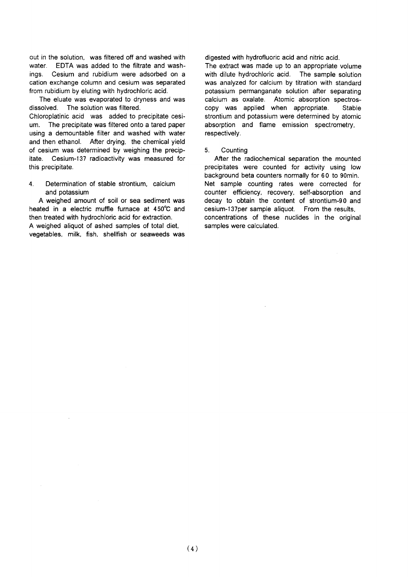out in the solution. was filtered off and washed with water FDTA was added to the filtrate and washings. Cesium and rubidium were adsorbed on a cation exchange column and cesium was separated from rubidium by eluting with hydrochloric acid.

The eluate was evaporated to dryness and was dissolved. The solution was filtered.

Chloroplatinic acid was added to precipitate cesi-The precipitate was filtered onto a tared paper um. using a demountable filter and washed with water and then ethanol. After drying, the chemical yield of cesium was determined by weighing the precipitate. Cesium-137 radioactivity was measured for this precipitate.

 $\overline{\mathbf{A}}$ Determination of stable strontium. calcium and potassium

A weighed amount of soil or sea sediment was heated in a electric muffle furnace at 450°C and then treated with hydrochloric acid for extraction. A weighed aliquot of ashed samples of total diet. vegetables, milk, fish, shellfish or seaweeds was

digested with hydrofluoric acid and nitric acid.

The extract was made up to an appropriate volume with dilute hydrochloric acid. The sample solution was analyzed for calcium by titration with standard potassium permanganate solution after separating calcium as oxalate. Atomic absorption spectroscopy was applied when appropriate. Stable strontium and potassium were determined by atomic absorption and flame emission spectrometry, respectively.

#### $5<sub>1</sub>$ Counting

After the radiochemical separation the mounted precipitates were counted for activity using low background beta counters normally for 60 to 90min. Net sample counting rates were corrected for counter efficiency, recovery, self-absorption and decay to obtain the content of strontium-90 and cesium-137per sample aliquot. From the results, concentrations of these nuclides in the original samples were calculated.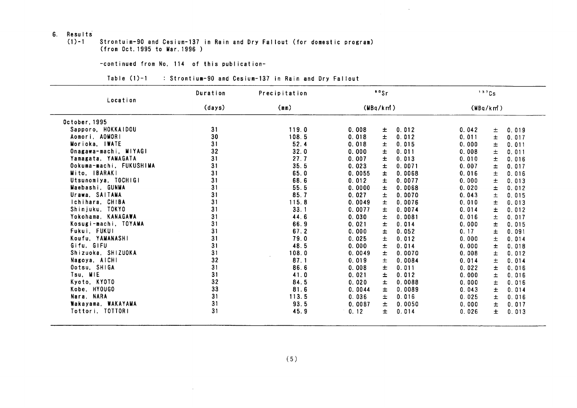## 6. Results

#### $(1) - 1$ Strontuim-90 and Cesium-137 in Rain and Dry Fallout (for domestic program) (from Oct. 1995 to Mar. 1996)

## -continued from No. 114 of this publication-

 $\sim$ 

## Table (1)-1 : Strontium-90 and Cesium-137 in Rain and Dry Fallout

|                         | Duration | Precipitation |          | $^{\circ}$ $^{\circ}$ Sr |          | 137Cs |       |
|-------------------------|----------|---------------|----------|--------------------------|----------|-------|-------|
| Location                | (days)   | (mn)          | (MBq/km) |                          | (MBq/km) |       |       |
| October, 1995           |          |               |          |                          |          |       |       |
| Sapporo, HOKKAIDOU      | 31       | 119.0         | 0.008    | Ŧ.<br>0.012              | 0.042    | 土     | 0.019 |
| Aomori, AOMORI          | 30       | 108.5         | 0.018    | 土<br>0.012               | 0.011    | $\pm$ | 0.017 |
| Morioka, IWATE          | 31       | 52.4          | 0.018    | 土<br>0.015               | 0.000    | 士     | 0.011 |
| Onagawa-machi, MIYAGI   | 32       | 32.0          | 0.000    | 士<br>0.011               | 0.008    | 土     | 0.011 |
| Yamagata, YAMAGATA      | 31       | 27.7          | 0.007    | $\pm$<br>0.013           | 0.010    | $\pm$ | 0.016 |
| Ookuma-machi, FUKUSHIMA | 31       | 35.5          | 0.023    | 0.0071<br>Ŧ.             | 0.007    | 士     | 0.017 |
| Mito, IBARAKI           | 31       | 65.0          | 0.0055   | 0.0068<br>士              | 0.016    | 士     | 0.016 |
| Utsunomiva. TOCHIGI     | 31       | 68.6          | 0.012    | 土<br>0.0077              | 0.000    | $\pm$ | 0.013 |
| Maebashi, GUNMA         | 31       | 55.5          | 0.0000   | Ŧ<br>0.0068              | 0.020    | 士     | 0.012 |
| Urawa, SAITAMA          | 31       | 85.7          | 0.027    | $\pm$<br>0.0070          | 0.043    | 土     | 0.015 |
| Ichihara, CHIBA         | 31       | 115.8         | 0.0049   | Ŧ<br>0.0076              | 0.010    | $\pm$ | 0.013 |
| Shinjuku, TOKYO         | 31       | 33.1          | 0.0077   | $\pm$<br>0.0074          | 0.014    | $\pm$ | 0.012 |
| Yokohama, KANAGAWA      | 31       | 44.6          | 0.030    | 土<br>0.0081              | 0.016    | 土     | 0.017 |
| Kosugi-machi, TOYAMA    | 31       | 66.9          | 0.021    | $\pm$<br>0.014           | 0.000    | 士     | 0.015 |
| Fukui. FUKUI            | 31       | 67.2          | 0.000    | $\pm$<br>0.052           | 0.17     | 土     | 0.091 |
| Koufu, YAMANASHI        | 31       | 79.0          | 0.025    | 0.012<br>士               | 0.000    | $\pm$ | 0.014 |
| Gifu, GIFU              | 31       | 48.5          | 0.000    | $\pm$<br>0.014           | 0.000    | $\pm$ | 0.018 |
| Shizuoka, SHIZUOKA      | 31       | 108.0         | 0.0049   | $\pm$<br>0.0070          | 0.008    | $\pm$ | 0.012 |
| Nagoya, AICHI           | 32       | 87.1          | 0.019    | 士<br>0.0084              | 0.014    | 士     | 0.014 |
| Ootsu, SHIGA            | 31       | 86.6          | 0.008    | 士<br>0.011               | 0.022    | 士     | 0.016 |
| Tsu, MIE                | 31       | 41.0          | 0.021    | 士<br>0.012               | 0.000    | 士     | 0.016 |
| Kyoto, KYOTO            | 32       | 84.5          | 0.020    | $\pm$<br>0.0088          | 0.000    | $\pm$ | 0.016 |
| Kobe, HYOUGO            | 33       | 81.6          | 0.0044   | 士<br>0.0089              | 0.043    | 士     | 0.014 |
| Nara, NARA              | 31       | 113.5         | 0.036    | $\pm$<br>0.016           | 0.025    | $\pm$ | 0.016 |
| Wakayama, WAKAYAMA      | 31       | 93.5          | 0.0087   | 土<br>0.0050              | 0.000    | $\pm$ | 0.017 |
| Tottori, TOTTORI        | 31       | 45.9          | 0.12     | 0.014<br>士               | 0.026    | $\pm$ | 0.013 |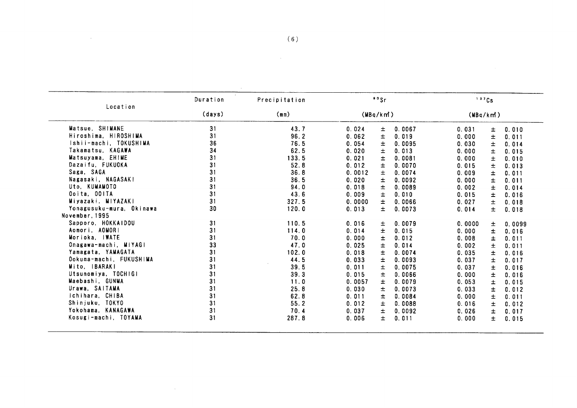|                                                                               | Duration | Precipitation |                 | 90Sr   | 137Cs<br>(MBq/km) |       |        |
|-------------------------------------------------------------------------------|----------|---------------|-----------------|--------|-------------------|-------|--------|
| Location<br>Matsue, SHIMANE<br>Hiroshima, HIROSHIMA<br>Ishii-machi, TOKUSHIMA | (days)   | (mn)          | (MBq/km)        |        |                   |       |        |
|                                                                               | 31       | 43.7          | 0.024<br>土      | 0.0067 | 0.031             | 士     | 0.010  |
|                                                                               | 31       | 96.2          | 0.062<br>$\pm$  | 0.019  | 0.000             | 土     | 0.011  |
|                                                                               | 36       | 76.5          | 0.054<br>$\pm$  | 0.0095 | 0.030             | $\pm$ | 0.014  |
| Takamatsu, KAGAWA                                                             | 34       | 62.5          | 0.020<br>士      | 0.013  | 0.000             | 土     | 0.015  |
| Matsuyama, EHIME                                                              | 31       | 133.5         | $\pm$<br>0.021  | 0.0081 | 0.000             | $\pm$ | 0.010  |
| Dazaifu, FUKUOKA                                                              | 31       | 52.8          | 0.012<br>Ŧ      | 0.0070 | 0.015             | 士     | 0.013  |
| Saga, SAGA                                                                    | 31       | 36.8          | $\pm$<br>0.0012 | 0.0074 | 0.009             | 土     | 0.011  |
| Nagasaki, NAGASAKI                                                            | 31       | 36.5          | $\pm$<br>0.020  | 0.0092 | 0.000             | $\pm$ | 0.011  |
| Uto, KUMAMOTO                                                                 | 31       | 94.0          | 0.018<br>士      | 0.0089 | 0.002             | 士     | 0.014  |
| Ooita, OOITA                                                                  | 31       | 43.6          | 0.009<br>±.     | 0.010  | 0.015             | 士     | 0.016  |
| Miyazaki. MIYAZAKI                                                            | 31       | 327.5         | 0.0000<br>$\pm$ | 0.0066 | 0.027             | 士     | 0.018  |
| Yonagusuku-mura, Okinawa<br>November, 1995                                    | 30       | 120.0         | ±.<br>0.013     | 0.0073 | 0.014             | Ŧ.    | 0.018  |
| Sapporo, HOKKAIDOU                                                            | 31       |               |                 |        |                   |       |        |
| Aomori, AOMORI                                                                | 31       | 110.5         | 0.016<br>Ŧ      | 0.0079 | 0.0000            | 土     | 0.0099 |
| Morioka, IWATE                                                                | 31       | 114.0         | 0.014<br>$\pm$  | 0.015  | 0.000             | 土     | 0.016  |
|                                                                               |          | 70.0          | $\pm$<br>0.000  | 0.012  | 0.008             | $\pm$ | 0.011  |
| Onagawa-machi, MIYAGI                                                         | 33       | 47.0          | 0.025<br>$\pm$  | 0.014  | 0.002             | $\pm$ | 0.011  |
| Yamagata, YAMAGATA                                                            | 31       | 102.0         | 0.018<br>$\pm$  | 0.0074 | 0.035             | 土     | 0.016  |
| Ookuma-machi, FUKUSHIMA                                                       | 31       | 44.5          | $\pm$<br>0.033  | 0.0093 | 0.037             | 士     | 0.017  |
| Mito, IBARAKI                                                                 | 31       | 39.5          | 0.011<br>$\pm$  | 0.0075 | 0.037             | $\pm$ | 0.016  |
| Utsunomiya, TOCHIGI                                                           | 31       | 39.3          | 0.015<br>士      | 0.0066 | 0.000             | 土     | 0.016  |
| Maebashi, GUNMA                                                               | 31       | 11.0          | 0.0057<br>±.    | 0.0079 | 0.053             | $\pm$ | 0.015  |
| Urawa, SAITAMA                                                                | 31       | 25.8          | $\pm$<br>0.030  | 0.0073 | 0.033             | $\pm$ | 0.012  |
| Ichihara, CHIBA                                                               | 31       | 62.8          | 0.011<br>士      | 0.0084 | 0.000             | $\pm$ | 0.011  |
| Shinjuku, TOKYO                                                               | 31       | 55.2          | 0.012<br>±.     | 0.0088 | 0.016             | 士     | 0.012  |
| Yokohama, KANAGAWA                                                            | 31       | 70.4          | 0.037<br>$\pm$  | 0.0092 | 0.026             | Ŧ.    | 0.017  |
| Kosugi-machi, TOYAMA                                                          | 31       | 287.8         | $\pm$<br>0.006  | 0.011  | 0.000             | $\pm$ | 0.015  |

 $\label{eq:2.1} \frac{1}{\sqrt{2}}\int_{0}^{2\pi} \frac{1}{\sqrt{2}}\left(\frac{1}{\sqrt{2}}\right)^{2} \frac{1}{\sqrt{2}}\left(\frac{1}{\sqrt{2}}\right)^{2} \frac{1}{\sqrt{2}}\left(\frac{1}{\sqrt{2}}\right)^{2} \frac{1}{\sqrt{2}}\left(\frac{1}{\sqrt{2}}\right)^{2} \frac{1}{\sqrt{2}}\left(\frac{1}{\sqrt{2}}\right)^{2} \frac{1}{\sqrt{2}}\left(\frac{1}{\sqrt{2}}\right)^{2} \frac{1}{\sqrt{2}}\left(\frac{1}{\sqrt{2}}\$ 

 $\label{eq:2.1} \mathcal{L}(\mathcal{L}^{\text{max}}_{\mathcal{L}}(\mathcal{L}^{\text{max}}_{\mathcal{L}}),\mathcal{L}^{\text{max}}_{\mathcal{L}}(\mathcal{L}^{\text{max}}_{\mathcal{L}}))$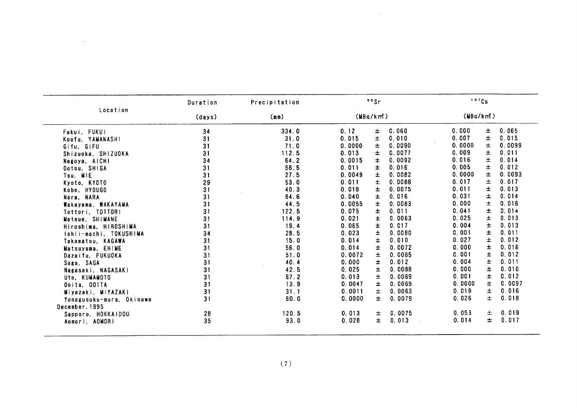|                          | Duration | Precipitation     |          | 99Sr  |        | 137Cs    |       |        |
|--------------------------|----------|-------------------|----------|-------|--------|----------|-------|--------|
| Location                 | (days)   | (m <sub>m</sub> ) | (MBq/km) |       |        | (MBq/km) |       |        |
| Fukui, FUKUI             | 34       | 334.0             | 0.12     | 士     | 0.060  | 0.000    | 士     | 0.065  |
| Koufu. YAMANASHI         | 31       | 31.0              | 0.015    | 土     | 0.010  | 0.007    | $\pm$ | 0.015  |
| Gifu, GIFU               | 31       | 71.0              | 0.0000   | 士     | 0.0090 | 0.0000   | $\pm$ | 0.0099 |
| Shizuoka, SHIZUOKA       | 31       | 112.5             | 0.013    | 士     | 0.0077 | 0.009    | 士     | 0.011  |
| Nagoya, AICHI            | 34       | 64.2              | 0.0015   | 士     | 0.0092 | 0.016    | 士     | 0.014  |
| Ootsu, SHIGA             | 31       | 58.5              | 0.011    | Ŧ     | 0.016  | 0.005    | $\pm$ | 0.012  |
| Tsu, MIE                 | 31       | 27.5              | 0.0049   | 士     | 0.0082 | 0.0000   | 士     | 0.0093 |
| Kyoto, KYOTO             | 29       | 53.0              | 0.011    | $\pm$ | 0.0088 | 0.017    | 士     | 0.017  |
| Kobe, HYOUGO             | 31       | 40.3              | 0.018    | $\pm$ | 0.0075 | 0.011    | $\pm$ | 0.013  |
| Nara, NARA               | 31       | 84.6              | 0.040    | 士     | 0.016  | 0.031    | 士     | 0.014  |
| Wakayama, WAKAYAMA       | 31       | 44.5              | 0.0055   | 士     | 0.0083 | 0.000    | ±.    | 0.016  |
| Tottori, TOTTORI         | 31       | 122.5             | 0.075    | $\pm$ | 0.011  | 0.041    | 士     | 0.014  |
| Matsue, SHIMANE          | 31       | 114.9             | 0.021    | 士     | 0.0063 | 0.025    | 土     | 0.013  |
| Hiroshima, HIROSHIMA     | 31       | 19.4              | 0.065    | Ŧ     | 0.017  | 0.004    | 士     | 0.013  |
| Ishii-machi, TOKUSHIMA   | 34       | 28.5              | 0.023    | $\pm$ | 0.0080 | 0.001    | Ŧ     | 0.011  |
| Takamatsu, KAGAWA        | 31       | 15.0              | 0.014    | $\pm$ | 0.010  | 0.027    | 士     | 0.012  |
| Matsuyama, EHIME         | 31       | 56.0              | 0.014    | $\pm$ | 0.0072 | 0.000    | 土     | 0.016  |
| Dazaifu, FUKUOKA         | 31       | 51.0              | 0.0072   | $\pm$ | 0.0065 | 0.001    | 士     | 0.012  |
| Saga, SAGA               | 31       | 40.4              | 0.000    | Ŧ     | 0.012  | 0.004    | 士     | 0.011  |
| Nagasaki, NAGASAKI       | 31       | 42.5              | 0.025    | Ŧ     | 0.0088 | 0.000    | 士     | 0.010  |
| Uto, KUMAMOTO            | 31       | 67.2              | 0.013    | 士     | 0.0069 | 0.001    | Ŧ     | 0.012  |
| Ooita, OOITA             | 31       | 13.9              | 0.0047   | 士     | 0.0069 | 0.0000   | 士     | 0.0097 |
| Miyazaki, MIYAZAKI       | 31       | 31.1              | 0.0011   | 士     | 0.0063 | 0.019    | 士     | 0.016  |
| Yonagusuku-mura, Okinawa | 31       | 60.0              | 0.0000   | $\pm$ | 0.0079 | 0.026    | $\pm$ | 0.018  |
| December, 1995           |          |                   |          |       |        |          |       |        |
| Sapporo, HOKKAIDOU       | 28       | 120.5             | 0.013    | 士     | 0.0075 | 0.053    | 土     | 0.019  |
| Aomori, AOMORI           | 35       | 93.0              | 0.028    | 士     | 0.013  | 0.014    | 士     | 0.017  |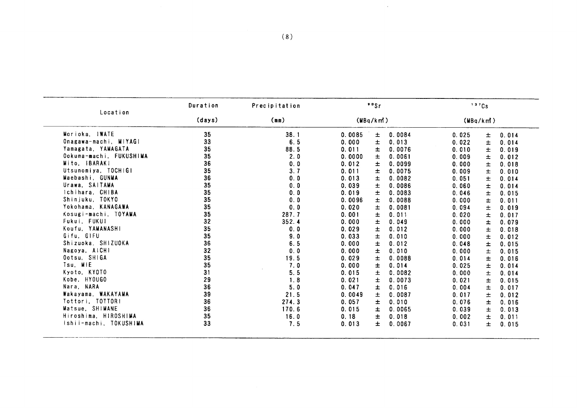| Location                | Duration | Precipitation | 99Sr                     | 137Cs                   |
|-------------------------|----------|---------------|--------------------------|-------------------------|
|                         | (days)   | (mn)          | (MBq/km)                 | (MBq/km)                |
| Morioka, IWATE          | 35       | 38.1          | 0.0084<br>0.0085<br>士    | 0.025<br>士<br>0.014     |
| Onagawa-machi, MIYAGI   | 33       | 6.5           | 0.000<br>士<br>0.013      | 0.022<br>土<br>0.014     |
| Yamagata, YAMAGATA      | 35       | 88.5          | 0.011<br>0.0076<br>士     | 0.010<br>士<br>0.019     |
| Ookuma-machi, FUKUSHIMA | 35       | 2.0           | 0.0061<br>0.0000<br>士    | 0.009<br>士<br>0.012     |
| Mito, IBARAKI           | 36       | 0.0           | 0.012<br>0.0099<br>士     | 0.000<br>士<br>0.018     |
| Utsunomiya, TOCHIGI     | 35       | 3.7           | $\pm$<br>0.011<br>0.0075 | 0.009<br>士<br>0.010     |
| Maebashi, GUNMA         | 36       | 0.0           | 0.0082<br>0.013<br>±     | 0.051<br>士<br>0.014     |
| Urawa, SAITAMA          | 35       | 0.0           | $\pm$<br>0.039<br>0.0086 | 0.060<br>士<br>0.014     |
| Ichihara, CHIBA         | 35       | 0.0           | 0.019<br>$\pm$<br>0.0083 | 0.046<br>士<br>0.015     |
| Shinjuku, TOKYO         | 35       | 0.0           | 0.0088<br>0.0096<br>士    | 0.000<br>0.011<br>±     |
| Yokohama, KANAGAWA      | 35       | 0.0           | 0.020<br>土<br>0.0081     | 0.094<br>士<br>0.019     |
| Kosugi-machi, TOYAMA    | 35       | 287.7         | $\pm$<br>0.001<br>0.011  | 0.020<br>士<br>0.017     |
| Fukui, FUKUI            | 32       | 352.4         | 士<br>0.000<br>0.049      | 0.000<br>Ŧ<br>0.079     |
| Koufu, YAMANASHI        | 35       | 0.0           | 0.012<br>0.029<br>士      | 0.000<br>土<br>0.018     |
| Gifu, GIFU              | 35       | 9.0           | $\pm$<br>0.033<br>0.010  | 0.000<br>土<br>0.012     |
| Shizuoka, SHIZUOKA      | 36       | 6.5           | 0.000<br>士<br>0.012      | 0.048<br>Ŧ<br>0.015     |
| Nagoya, AICHI           | 32       | 0.0           | 0.000<br>0.010<br>士      | 0.000<br>土<br>0.015     |
| Ootsu, SHIGA            | 35       | 19.5          | $\pm$<br>0.029<br>0.0088 | Ŧ<br>0.014<br>0.016     |
| Tsu, MIE                | 35       | 7.0           | 士<br>0.000<br>0.014      | 土<br>0.025<br>0.014     |
| Kyoto, KYOTO            | 31       | 5.5           | 0.015<br>0.0082<br>土     | 0.000<br>士<br>0.014     |
| Kobe, HYOUGO            | 29       | 1.8           | 0.0073<br>0.021<br>士     | 土<br>0.021<br>0.015     |
| Nara, NARA              | 36       | 5.0           | 0.047<br>0.016<br>土      | 土<br>0.004<br>0.017     |
| Wakayama. WAKAYAMA      | 39       | 21.5          | 0.0087<br>0.0049<br>土    | 0.017<br>土<br>0.012     |
| Tottori, TOTTORI        | 36       | 274.3         | 0.010<br>0.057<br>士      | 0.076<br>土<br>0.016     |
| Matsue, SHIMANE         | 36       | 170.6         | 0.015<br>0.0065<br>士     | 0.039<br>士<br>0.013     |
| Hiroshima, HIROSHIMA    | 35       | 16.0          | 0.18<br>士<br>0.018       | 0.002<br>$\pm$<br>0.011 |
| Ishii-machi, TOKUSHIMA  | 33       | 7.5           | 0.013<br>0.0067<br>Ŧ     | 0.031<br>士<br>0.015     |

 $\ddot{\phantom{a}}$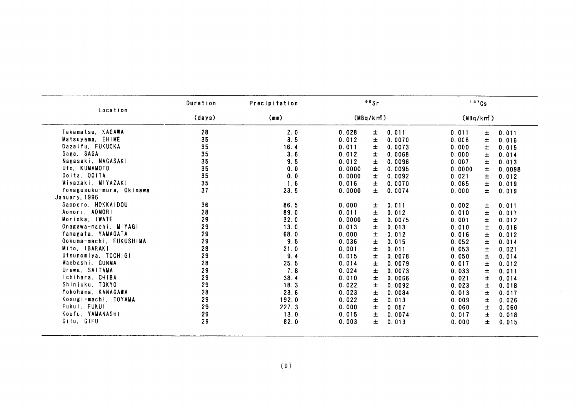|                          | Duration | Precipitation | 90Sr            |                 |          | 137Cs |        |
|--------------------------|----------|---------------|-----------------|-----------------|----------|-------|--------|
| Location                 | (days)   | (mn)          | (MBq/km)        |                 | (MBq/km) |       |        |
| Takamatsu, KAGAWA        | 28       | 2.0           | 0.028<br>Ŧ      | 0.011           | 0.011    | Ŧ     | 0.011  |
| Matsuyama, EHIME         | 35       | 3.5           | 0.012           | Ŧ<br>0.0070     | 0.008    | $\pm$ | 0.016  |
| Dazaifu, FUKUOKA         | 35       | 16.4          | 0.011<br>Ŧ      | 0.0073          | 0.000    | 士     | 0.015  |
| Saga, SAGA               | 35       | 3.6           | 0.012<br>Ŧ      | 0.0068          | 0.000    | Ŧ     | 0.014  |
| Nagasaki, NAGASAKI       | 35       | 9.5           | 0.012           | ±<br>0.0096     | 0.007    | 士     | 0.013  |
| Uto, KUMAMOTO            | 35       | 0.0           | 0.0000<br>±     | 0.0095          | 0.0000   | 士     | 0.0098 |
| Ooita, OOITA             | 35       | 0.0           | $\pm$<br>0.0000 | 0.0092          | 0.021    | 士     | 0.012  |
| Miyazaki, MIYAZAKI       | 35       | 1.6           | 0.016           | Ŧ<br>0.0070     | 0.065    | $\pm$ | 0.019  |
| Yonagusuku-mura, Okinawa | 37       | 23.5          | 0.0000          | 0.0074<br>$\pm$ | 0.000    | ±.    | 0.019  |
| January, 1996            |          |               |                 |                 |          |       |        |
| Sappero, HOKKAIDOU       | 36       | 86.5          | 0.000           | 0.011<br>±.     | 0.002    | ±.    | 0.011  |
| Aomori, AOMORI           | 28       | 89.0          | 0.011<br>$\pm$  | 0.012           | 0.010    | 士     | 0.017  |
| Morioka, IWATE           | 29       | 32.0          | 0.0000          | Ŧ<br>0.0075     | 0.001    | Ŧ     | 0.012  |
| Onagawa-machi, MIYAGI    | 29       | 13.0          | $\pm$<br>0.013  | 0.013           | 0.010    | 士     | 0.016  |
| Yamagata, YAMAGATA       | 29       | 68.0          | 0.000           | $\pm$<br>0.012  | 0.016    | Ŧ.    | 0.012  |
| Ookuma-machi, FUKUSHIMA  | 29       | 9.5           | 0.036           | Ŧ<br>0.015      | 0.052    | ±     | 0.014  |
| Mito, IBARAKI            | 28       | 21.0          | 0.001           | Ŧ<br>0.011      | 0.053    | $\pm$ | 0.021  |
| Utsunomiya, TOCHIGI      | 29       | 9.4           | 0.015           | $\pm$<br>0.0078 | 0.050    | Ŧ.    | 0.014  |
| Maebashi, GUNMA          | 28       | 25.5          | 0.014           | Ŧ<br>0.0079     | 0.017    | 土     | 0.012  |
| Urawa, SAITAMA           | 29       | 7.8           | 0.024           | Ŧ<br>0.0073     | 0.033    | 土     | 0.011  |
| Ichihara, CHIBA          | 29       | 38.4          | 0.010           | $\pm$<br>0.0066 | 0.021    | $\pm$ | 0.014  |
| Shinjuku, TOKYO          | 29       | 18.3          | 0.022<br>土      | 0.0092          | 0.023    | 土     | 0.018  |
| Yokohama, KANAGAWA       | 28       | 23.6          | 0.023           | 士<br>0.0084     | 0.013    | 土     | 0.017  |
| Kosugi-machi, TOYAMA     | 29       | 192.0         | 0.022           | $\pm$<br>0.013  | 0.009    | 士     | 0.026  |
| Fukui, FUKUI             | 29       | 227.3         | 0.000           | 0.057<br>士      | 0.060    | $\pm$ | 0.060  |
| Koufu, YAMANASHI         | 29       | 13.0          | 0.015           | $\pm$<br>0.0074 | 0.017    | 土     | 0.018  |
| Gifu, GIFU               | 29       | 82.0          | 0.003           | $\pm$<br>0.013  | 0.000    | ±.    | 0.015  |
|                          |          | (9)           |                 |                 |          |       |        |

 $\sim 10^6$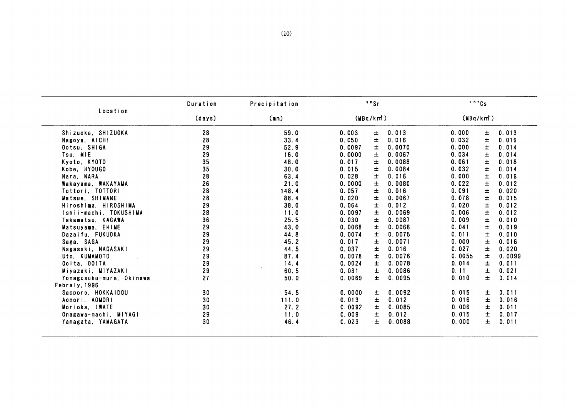|                          | Duration | Precipitation | 90Sr                      | 137Cs                   |
|--------------------------|----------|---------------|---------------------------|-------------------------|
| Location                 | (days)   | (mn)          | (MBq/km)                  | (MBq/km)                |
| Shizuoka, SHIZUOKA       | 28       | 59.0          | 0.013<br>0.003<br>Ŧ       | 0.013<br>0.000<br>士     |
| Nagoya, AICHI            | 28       | 33.4          | 0.050<br>土<br>0.016       | 0.032<br>士<br>0.019     |
| Ootsu, SHIGA             | 29       | 52.9          | $\pm$<br>0.0070<br>0.0097 | 0.000<br>Ŧ<br>0.014     |
| Tsu, MIE                 | 29       | 16.0          | 0.0000<br>0.0067<br>±     | 0.034<br>0.014<br>士     |
| Kyoto, KYOTO             | 35       | 48.0          | 士<br>0.017<br>0.0088      | 0.018<br>0.061<br>士     |
| Kobe, HYOUGO             | 35       | 30.0          | 士<br>0.0084<br>0.015      | 0.032<br>0.014<br>Ŧ     |
| Nara, NARA               | 28       | 63.4          | 土<br>0.016<br>0.028       | 0.000<br>0.019<br>士     |
| Wakayama, WAKAYAMA       | 26       | 21.0          | 0.0000<br>士<br>0.0080     | 0.022<br>0.012<br>土     |
| Tottori, TOTTORI         | 28       | 148.4         | $\pm$<br>0.016<br>0.057   | 0.091<br>$\pm$<br>0.020 |
| Matsue, SHIMANE          | 28       | 88.4          | $\pm$<br>0.020<br>0.0067  | 0.078<br>0.015<br>士     |
| Hiroshima, HIROSHIMA     | 29       | 38.0          | 0.012<br>0.064<br>土       | 0.020<br>0.012<br>士     |
| Ishii-machi, TOKUSHIMA   | 28       | 11.0          | $\pm$<br>0.0069<br>0.0097 | 0.012<br>0.006<br>士     |
| Takamatsu, KAGAWA        | 36       | 25.5          | Ŧ<br>0.0087<br>0.030      | 0.009<br>0.010<br>±     |
| Matsuyama, EHIME         | 29       | 43.0          | Ŧ<br>0.0068<br>0.0068     | 0.041<br>0.019<br>士     |
| Dazaifu, FUKUOKA         | 29       | 44.8          | 0.0075<br>0.0074<br>土     | 0.011<br>0.010<br>士     |
| Saga, SAGA               | 29       | 45.2          | $\pm$<br>0.0071<br>0.017  | 0.016<br>0.000<br>土     |
| Nagasaki, NAGASAKI       | 29       | 44.5          | $\pm$<br>0.016<br>0.037   | 0.027<br>士<br>0.020     |
| Uto, KUMAMOTO            | 29       | 87.4          | 0.0076<br>0.0078<br>士     | 0.0055<br>0.0099<br>士   |
| Ooita, OOITA             | 29       | 14.4          | Ŧ<br>0.0078<br>0.0024     | 0.014<br>士<br>0.011     |
| Miyazaki, MiYAZAKI       | 29       | 60.5          | $\pm$<br>0.0086<br>0.031  | 0.11<br>Ŧ<br>0.021      |
| Yonagusuku-mura, Okinawa | 27       | 50.0          | 士<br>0.0095<br>0.0069     | Ŧ<br>0.010<br>0.014     |
| Febraly, 1996            |          |               |                           |                         |
| Sapporo, HOKKAIDOU       | 30       | 54.5          | 0.0092<br>0.0000<br>士     | 0.015<br>0.011<br>土     |
| Aomori, AOMORI           | 30       | 111.0         | 士<br>0.012<br>0.013       | 0.016<br>士<br>0.016     |
| Morioka, IWATE           | 30       | 27.2          | 0.0092<br>0.0085<br>士     | 0.006<br>士<br>0.011     |
| Onagawa-machi, MIYAGI    | 29       | 11.0          | 0.012<br>0.009<br>士       | 0.015<br>士<br>0.017     |
| Yamagata, YAMAGATA       | 30       | 46.4          | 0.0088<br>0.023<br>士      | 0.000<br>0.011<br>士     |

 $\mathcal{L}^{\text{max}}_{\text{max}}$  and  $\mathcal{L}^{\text{max}}_{\text{max}}$ 

 $\sim 10^7$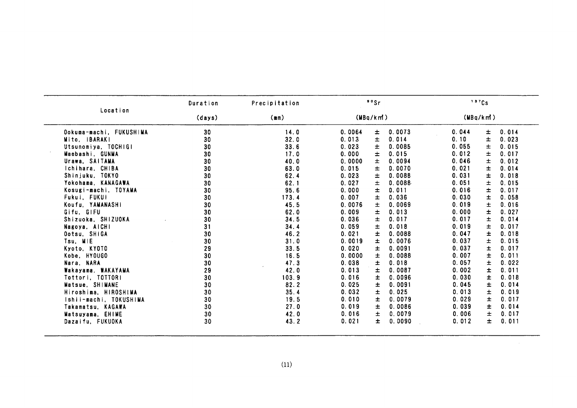|                         | Duration | Precipitation |          | 90Sr  |        |          | 137Cs |       |
|-------------------------|----------|---------------|----------|-------|--------|----------|-------|-------|
| Location                | (days)   | (mn)          | (MBq/km) |       |        | (MBq/km) |       |       |
| Ookuma-machi, FUKUSHIMA | 30       | 14.0          | 0.0064   | ±     | 0.0073 | 0.044    | 士     | 0.014 |
| Mito, IBARAKI           | 30       | 32.0          | 0.013    | 士     | 0.014  | 0.10     | 士     | 0.023 |
| Utsunomiya, TOCHIGI     | 30       | 33.6          | 0.023    | Ŧ     | 0.0085 | 0.055    | 士     | 0.015 |
| Maebashi, GUNMA         | 30       | 17.0          | 0.000    | Ŧ     | 0.015  | 0.012    | 土     | 0.017 |
| Urawa, SAITAMA          | 30       | 40.0          | 0.0000   | Ŧ     | 0.0094 | 0.046    | 士     | 0.012 |
| Ichihara, CHIBA         | 30       | 63.0          | 0.015    | 士     | 0.0070 | 0.021    | ±     | 0.014 |
| Shinjuku, TOKYO         | 30       | 62.4          | 0.023    | 士     | 0.0088 | 0.031    | ±     | 0.018 |
| Yokohama, KANAGAWA      | 30       | 62.1          | 0.027    | 土     | 0.0088 | 0.051    | 土     | 0.015 |
| Kosugi-machi, TOYAMA    | 30       | 95.6          | 0.000    | Ŧ.    | 0.011  | 0.016    | 士     | 0.017 |
| Fukui, FUKUI            | 30       | 173.4         | 0.007    | Ŧ.    | 0.036  | 0.030    | 士     | 0.058 |
| Koufu, YAMANASHI        | 30       | 45.5          | 0.0076   | 士     | 0.0069 | 0.019    | Ŧ     | 0.016 |
| Gifu, GIFU              | 30       | 62.0          | 0.009    | 士     | 0.013  | 0.000    | 士     | 0.027 |
| Shizuoka, SHIZUOKA      | 30       | 34.5          | 0.036    | 土     | 0.017  | 0.017    | 士     | 0.014 |
| Nagoya, AICHI           | 31       | 34.4          | 0.059    | 士     | 0.018  | 0.019    | 士     | 0.017 |
| Ootsu, SHIGA            | 30       | 46.2          | 0.021    | ±     | 0.0088 | 0.047    | ±     | 0.018 |
| Tsu. MIE                | 30       | 31.0          | 0.0019   | ±.    | 0.0076 | 0.037    | 士     | 0.015 |
| Kyoto, KYOTO            | 29       | 33.5          | 0.020    | ±.    | 0.0091 | 0.037    | 士     | 0.017 |
| Kobe, HYOUGO            | 30       | 16.5          | 0.0000   | 士     | 0.0088 | 0.007    | Ŧ     | 0.011 |
| Nara, NARA              | 30       | 47.3          | 0.038    | Ŧ     | 0.018  | 0.057    | 士     | 0.022 |
| Wakayama, WAKAYAMA      | 29       | 42.0          | 0.013    | ±     | 0.0087 | 0.002    | ±     | 0.011 |
| Tottori, TOTTORI        | 30       | 103.9         | 0.016    | Ŧ     | 0.0096 | 0.030    | 士     | 0.018 |
| Matsue, SHIMANE         | 30       | 82.2          | 0.025    | 士     | 0.0091 | 0.045    | 士     | 0.014 |
| Hiroshima, HIROSHIMA    | 30       | 35.4          | 0.032    | 士     | 0.025  | 0.013    | 士     | 0.019 |
| Ishii-machi. TOKUSHIMA  | 30       | 19.5          | 0.010    | $\pm$ | 0.0079 | 0.029    | 士     | 0.017 |
| Takamatsu, KAGAWA       | 30       | 27.0          | 0.019    | 士     | 0.0086 | 0.039    | $\pm$ | 0.014 |
| Matsuyama, EHIME        | 30       | 42.0          | 0.016    | 士     | 0.0079 | 0.006    | 士     | 0.017 |
| Dazaifu, FUKUOKA        | 30       | 43.2          | 0.021    | 士     | 0.0090 | 0.012    | ±     | 0.011 |

 $\sim 10^{-1}$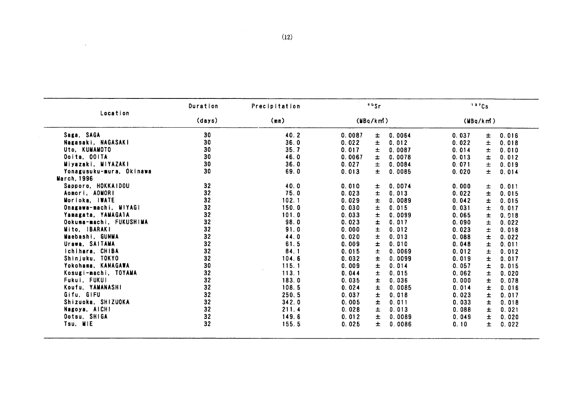|                          | Duration       | Precipitation | 90Sr                           | 137Cs                   |
|--------------------------|----------------|---------------|--------------------------------|-------------------------|
| Location                 | (days)<br>(mn) |               | (MBa/km)                       | (MBq/km)                |
| Saga, SAGA               | 30             | 40.2          | 0.0087<br>0.0064<br>±          | 0.037<br>0.016<br>±     |
| Nagasaki, NAGASAKI       | 30             | 36.0          | $\pm$<br>0.022<br>0.012        | Ŧ<br>0.022<br>0.018     |
| Uto, KUMAMOTO            | 30             | 35.7          | 0.017<br>0.0087<br>±           | 0.014<br>ŧ.<br>0.010    |
| Ocita, OOITA             | 30             | 46.0          | ±<br>0.0067<br>0.0078          | 0.013<br>±<br>0.012     |
| Miyazaki, MIYAZAKI       | 30             | 36.0          | 0.027<br>±<br>0.0084           | 0.071<br>$\pm$<br>0.019 |
| Yonagusuku-mura, Okinawa | 30             | 69.0          | 0.013<br>$\pm$<br>0.0085       | 0.020<br>Ŧ<br>0.014     |
| <b>March, 1996</b>       |                |               |                                |                         |
| Sapporo, HOKKAIDOU       | 32             | 40.0          | 0.010<br>0.0074<br>±           | 0.000<br>$\pm$<br>0.011 |
| Aomori, AOMORI           | 32             | 75.0          | Ŧ<br>0.023<br>0.013            | Ŧ<br>0.022<br>0.015     |
| Morioka, IWATE           | 32             | 102.1         | 0.029<br>±<br>0.0089           | 0.042<br>±<br>0.015     |
| Onagawa-machi, MIYAGI    | 32             | 150.0         | $\pm$<br>0.030<br>0.015        | 0.031<br>$\pm$<br>0.017 |
| Yamagata, YAMAGATA       | 32             | 101.0         | 0.0099<br>0.033<br>±.          | 0.065<br>±<br>0.018     |
| Ookuma-machi, FUKUSHIMA  | 32             | 98.0          | 0.023<br>$\pm$<br>0.017        | 0.090<br>$\pm$<br>0.022 |
| Mito, IBARAKI            | 32             | 91.0          | 0.000<br>$\pm$<br>0.012        | 0.023<br>Ŧ<br>0.018     |
| Maebashi, GUNMA          | 32             | 44.0          | 0.020<br>Ŧ<br>0.013            | 0.088<br>Ŧ<br>0.022     |
| Urawa, SAITAMA           | 32             | 61.5          | ±<br>0.009<br>0.010            | 0.048<br>±<br>0.011     |
| Ichihara, CHIBA          | 32             | 84.1          | 0.0069<br>0.015<br>$\pmb{\pm}$ | 0.012<br>±<br>0.012     |
| Shinjuku, TOKYO          | 32             | 104.6         | 0.032<br>Ŧ<br>0.0099           | 0.019<br>Ŧ<br>0.017     |
| Yokohama, KANAGAWA       | 30             | 115.1         | 0.009<br>Ŧ<br>0.014            | 0.057<br>Ŧ<br>0.015     |
| Kosugi-machi, TOYAMA     | 32             | 113.1         | 0.044<br>±<br>0.015            | 0.062<br>Ŧ<br>0.020     |
| Fukui, FUKUI             | 32             | 183.0         | Ŧ<br>0.035<br>0.036            | 0.000<br>Ŧ<br>0.078     |
| Koufu, YAMANASHI         | 32             | 108.5         | 0.024<br>±<br>0.0085           | 0.014<br>Ŧ<br>0.016     |
| Gifu, GIFU               | 32             | 250.5         | 0.037<br>$\pm$<br>0.018        | 0.023<br>Ŧ<br>0.017     |
| Shizuoka, SHIZUOKA       | 32             | 342.0         | 0.005<br>±.<br>0.011           | 0.033<br>Ŧ<br>0.018     |
| Nagoya, AICHI            | 32             | 211.4         | 0.028<br>土<br>0.013            | 0.088<br>Ŧ<br>0.021     |
| Ootsu, SHIGA             | 32             | 149.6         | $\pm$<br>0.012<br>0.0089       | Ŧ<br>0.049<br>0.020     |
| Tsu, MIE                 | 32             | 155.5         | 0.025<br>±.<br>0.0086          | 0.10<br>土<br>0.022      |
|                          |                |               |                                |                         |
|                          |                |               |                                |                         |
|                          |                |               |                                |                         |
|                          |                |               |                                |                         |
|                          |                |               |                                |                         |
|                          |                |               |                                |                         |
|                          |                |               |                                |                         |
|                          |                |               |                                |                         |
|                          |                |               |                                |                         |
|                          |                |               |                                |                         |
|                          |                |               |                                |                         |
|                          |                |               |                                |                         |
|                          |                |               |                                |                         |
|                          |                |               |                                |                         |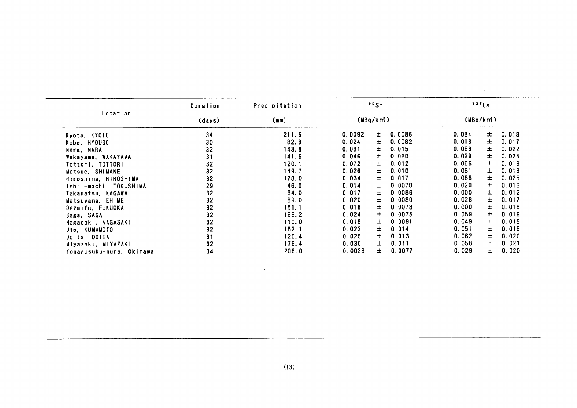|                          | Duration | Precipitation    | 90Sr   |              |          | 137Cs          |  |
|--------------------------|----------|------------------|--------|--------------|----------|----------------|--|
| Location                 | (days)   | (MBq/km)<br>(mn) |        |              | (MBq/km) |                |  |
| Kyoto, KYOTO             | 34       | 211.5            | 0.0092 | 0.0086<br>士  | 0.034    | 0.018<br>$\pm$ |  |
| Kobe, HYOUGO             | 30       | 82.8             | 0.024  | 0.0082<br>士  | 0.018    | 0.017<br>±.    |  |
| Nara, NARA               | 32       | 143.8            | 0.031  | 0.015<br>士   | 0.063    | 0.022<br>±.    |  |
| Wakayama, WAKAYAMA       | 31       | 141.5            | 0.046  | 0.030<br>±.  | 0.029    | 0.024<br>士。    |  |
| Tottori. TOTTORI         | 32       | 120.1            | 0.072  | 0.012<br>±.  | 0.066    | 0.019<br>士     |  |
| Matsue, SHIMANE          | 32       | 149.7            | 0.026  | 0.010<br>±.  | 0.081    | 0.016<br>士     |  |
| Hiroshima, HIROSHIMA     | 32       | 178.0            | 0.034  | 0.017<br>±.  | 0.066    | 0.025<br>±.    |  |
| Ishii-machi. TOKUSHIMA   | 29       | 46.0             | 0.014  | 0.0078<br>Ŧ  | 0.020    | 0.016<br>±.    |  |
| Takamatsu, KAGAWA        | 32       | 34.0             | 0.017  | 0.0086<br>Ŧ. | 0.000    | 0.012<br>±.    |  |
| Matsuyama, EHIME         | 32       | 89.0             | 0.020  | 0.0080<br>士  | 0.028    | 0.017<br>士     |  |
| Dazaifu, FUKUOKA         | 32       | 151.1            | 0.016  | 0.0078<br>Ŧ. | 0.000    | 0.016<br>$\pm$ |  |
| Saga, SAGA               | 32       | 166.2            | 0.024  | 0.0075<br>±. | 0.059    | 0.019<br>±.    |  |
| Nagasaki, NAGASAKI       | 32       | 110.0            | 0.018  | 0.0091<br>士  | 0.049    | 0.018<br>±.    |  |
| Uto, KUMAMOTO            | 32       | 152.1            | 0.022  | 0.014<br>士   | 0.051    | 0.018<br>±.    |  |
| Ooita, OOITA             | 31       | 120.4            | 0.025  | 0.013<br>±   | 0.062    | 0.020<br>±.    |  |
| Miyazaki, MIYAZAKI       | 32       | 176.4            | 0.030  | 0.011<br>±   | 0.058    | 0.021<br>$\pm$ |  |
| Yonagusuku-mura, Okinawa | 34       | 206.0            | 0.0026 | 0.0077<br>士  | 0.029    | 0.020<br>士     |  |

 $\sim 10^6$ 

 $\mathcal{L}(\mathcal{L}^{\mathcal{L}})$  and  $\mathcal{L}(\mathcal{L}^{\mathcal{L}})$  and  $\mathcal{L}(\mathcal{L}^{\mathcal{L}})$  and  $\mathcal{L}(\mathcal{L}^{\mathcal{L}})$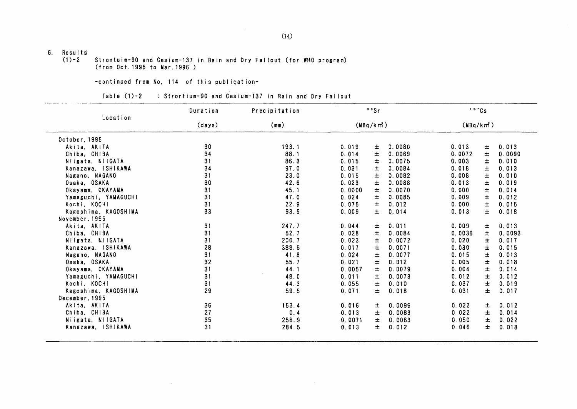# 6.  $Results$ <br>(1)-2

Strontuim-90 and Cesium-137 in Rain and Dry Fallout (for WHO program) (from Oct. 1995 to Mar. 1996)

## -COntinued fron No,114 0f this publication-

 $\sim 10$ 

## Table (1)-2 : Strontium-90 and Cesium-137 in Rain and Dry Fallout

|                      | Duration | Precipitation | 99Sr     |                 | 137Cs    |    |        |
|----------------------|----------|---------------|----------|-----------------|----------|----|--------|
| Location             | (days)   | (mn)          | (MBq/km) |                 | (MBq/km) |    |        |
| October, 1995        |          |               |          |                 |          |    |        |
| Akita, AKITA         | 30       | 193.1         | 0.019    | 0.0080<br>士     | 0.013    | 士  | 0.013  |
| Chiba, CHIBA         | 34       | 88.1          | 0.014    | 士<br>0.0069     | 0.0072   | Ŧ  | 0.0090 |
| Niigata, NIIGATA     | 31       | 86.3          | 0.015    | 0.0075<br>士     | 0.003    | 士  | 0.010  |
| Kanazawa, ISHIKAWA   | 34       | 97.0          | 0.031    | 0.0084<br>士     | 0.018    | Ŧ  | 0.013  |
| Nagano, NAGANO       | 31       | 23.0          | 0.015    | 0.0082<br>士     | 0.008    | ±  | 0.010  |
| Osaka, OSAKA         | 30       | 42.6          | 0.023    | $\pm$<br>0.0088 | 0.013    | 士  | 0.019  |
| Okayama, OKAYAMA     | 31       | 45.1          | 0.0000   | 士<br>0.0070     | 0.000    | Ŧ  | 0.014  |
| Yamaguchi, YAMAGUCHI | 31       | 47.0          | 0.024    | 0.0085<br>士     | 0.009    | ±  | 0.012  |
| Kochi, KOCHI         | 31       | 22.9          | 0.075    | 士<br>0.012      | 0.000    | Ŧ  | 0.015  |
| Kagoshima, KAGOSHIMA | 33       | 93.5          | 0.009    | 士<br>0.014      | 0.013    | 士  | 0.018  |
| November, 1995       |          |               |          |                 |          |    |        |
| Akita, AKITA         | 31       | 247.7         | 0.044    | 0.011<br>Ŧ.     | 0.009    | Ŧ. | 0.013  |
| Chiba, CHIBA         | 31       | 52.7          | 0.028    | 0.0084<br>土     | 0.0036   | ±. | 0.0093 |
| Niigata, NIIGATA     | 31       | 200.7         | 0.023    | 士<br>0.0072     | 0.020    | ±. | 0.017  |
| Kanazawa, ISHIKAWA   | 28       | 388.5         | 0.017    | 0.0071<br>Ŧ     | 0.030    | 土  | 0.015  |
| Nagano, NAGANO       | 31       | 41.8          | 0.024    | $\pm$<br>0.0077 | 0.015    | ±. | 0.013  |
| Osaka, OSAKA         | 32       | 55.7          | 0.021    | $\pm$<br>0.012  | 0.005    | ±  | 0.018  |
| Okayama, OKAYAMA     | 31       | 44.1          | 0.0057   | 0.0079<br>士     | 0.004    | 士  | 0.014  |
| Yamaguchi, YAMAGUCHI | 31       | 48.0          | 0.011    | 土<br>0.0073     | 0.012    | 士  | 0.012  |
| Kochi, KOCHI         | 31       | 44.3          | 0.055    | $\pm$<br>0.010  | 0.037    | 士  | 0.019  |
| Kagoshima, KAGOSHIMA | 29       | 59.5          | 0.071    | 士<br>0.018      | 0.031    | 士  | 0.017  |
| December, 1995       |          |               |          |                 |          |    |        |
| Akita, AKITA         | 36       | 153.4         | 0.016    | 0.0096<br>±.    | 0.022    | ±. | 0.012  |
| Chiba, CHIBA         | 27       | 0.4           | 0.013    | 0.0083<br>±.    | 0.022    | 士  | 0.014  |
| Niigata, NIIGATA     | 35       | 258.9         | 0.0071   | Ŧ.<br>0.0063    | 0.050    | 士  | 0.022  |
| Kanazawa, ISHIKAWA   | 31       | 284.5         | 0.013    | Ŧ<br>0.012      | 0.046    | 士  | 0.018  |

 $\sim 10^{-1}$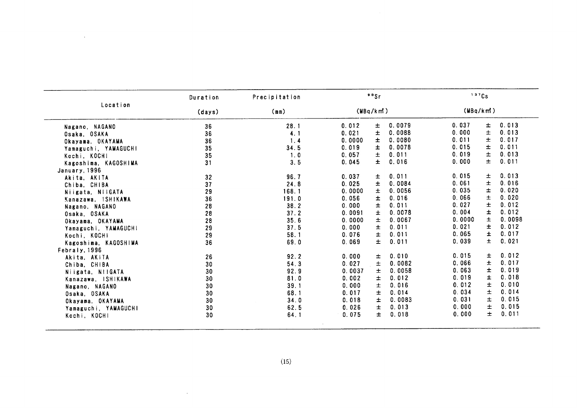|                      | Duration | Precipitation | 99Sr     |       |        | 137Cs    |       |        |
|----------------------|----------|---------------|----------|-------|--------|----------|-------|--------|
| Location             | (days)   | (mm)          | (MBq/km) |       |        | (MBq/km) |       |        |
| Nagano, NAGANO       | 36       | 28.1          | 0.012    | 士     | 0.0079 | 0.037    | 士     | 0.013  |
| Osaka, OSAKA         | 36       | 4.1           | 0.021    | ±     | 0.0088 | 0.000    | Ŧ     | 0.013  |
| Okayama, OKAYAMA     | 36       | 1.4           | 0.0000   | 士     | 0.0080 | 0.011    | 士     | 0.017  |
| Yamaguchi, YAMAGUCHI | 35       | 34.5          | 0.019    | ±     | 0.0078 | 0.015    | 士     | 0.011  |
| Kochi, KOCHI         | 35       | 1.0           | 0.057    | 士     | 0.011  | 0.019    | $\pm$ | 0.013  |
| Kagoshima, KAGOSHIMA | 31       | 3.5           | 0.045    | $\pm$ | 0.016  | 0.000    | ±.    | 0.011  |
| January, 1996        |          |               |          |       |        |          |       |        |
| Akita, AKITA         | 32       | 96.7          | 0.037    | 士     | 0.011  | 0.015    | 士     | 0.013  |
| Chiba, CHIBA         | 37       | 24.8          | 0.025    | 士     | 0.0084 | 0.061    | ±.    | 0.016  |
| Niigata, NiiGATA     | 29       | 168.1         | 0.0000   | 士     | 0.0056 | 0.035    | ±     | 0.020  |
| Kanazawa, ISHIKAWA   | 36       | 191.0         | 0.056    | Ŧ.    | 0.016  | 0.066    | 士     | 0.020  |
| Nagano, NAGANO       | 28       | 38.2          | 0.000    | 士     | 0.011  | 0.027    | 士     | 0.012  |
| Osaka, OSAKA         | 28       | 37.2          | 0.0091   | ±.    | 0.0078 | 0.004    | ±.    | 0.012  |
| Okayama, OKAYAMA     | 28       | 35.6          | 0.0000   | $\pm$ | 0.0067 | 0.0000   | 士     | 0.0098 |
| Yamaguchi, YAMAGUCHI | 29       | 37.5          | 0.000    | 士     | 0.011  | 0.021    | 士     | 0.012  |
| Kochi, KOCHI         | 29       | 58.1          | 0.076    | Ŧ     | 0.011  | 0.065    | Ŧ.    | 0.017  |
| Kagoshima, KAGOSHIMA | 36       | 69.0          | 0.069    | Ŧ.    | 0.011  | 0.039    | $\pm$ | 0.021  |
| Febraly, 1996        |          |               |          |       |        |          |       |        |
| Akita, AKITA         | 26       | 92.2          | 0.000    | 士     | 0.010  | 0.015    | ±.    | 0.012  |
| Chiba, CHIBA         | 30       | 54.3          | 0.027    | 士     | 0.0082 | 0.066    | 士     | 0.017  |
| Niigata, N!IGATA     | 30       | 92.9          | 0.0037   | 士     | 0.0058 | 0.063    | 士     | 0.019  |
| Kanazawa, ISHIKAWA   | 30       | 81.0          | 0.002    | Ŧ     | 0.012  | 0.019    | Ŧ     | 0.018  |
| Nagano, NAGANO       | 30       | 39.1          | 0.000    | Ŧ     | 0.016  | 0.012    | 士     | 0.010  |
| Osaka, OSAKA         | 30       | 68.1          | 0.017    | Ŧ.    | 0.014  | 0.034    | 土     | 0.014  |
| Okayama, OKAYAMA     | 30       | 34.0          | 0.018    | Ŧ     | 0.0083 | 0.031    | $\pm$ | 0.015  |
| Yamaguchi, YAMAGUCHI | 30       | 62.5          | 0.026    | Ŧ     | 0.013  | 0.000    | Ŧ     | 0.015  |
|                      | 30       | 64.1          | 0.075    | Ŧ.    | 0.018  | 0.000    | $\pm$ | 0.011  |

 $\mathcal{L}^{\text{max}}_{\text{max}}$ 

 $\mathcal{L}^{\text{max}}_{\text{max}}$  , where  $\mathcal{L}^{\text{max}}_{\text{max}}$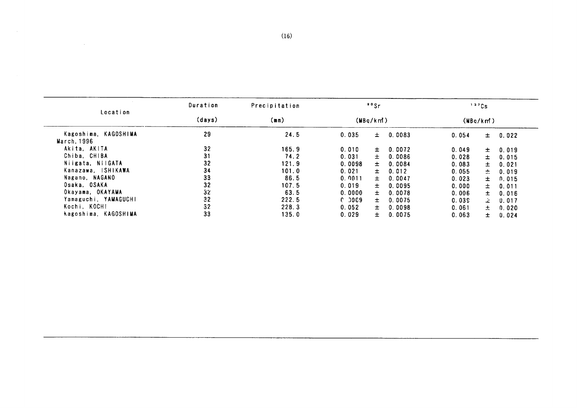| Duration | Precipitation                                      |                                                                            |                                                                                         |                                                           |                                                                                                   |                                                                               |                                                                |
|----------|----------------------------------------------------|----------------------------------------------------------------------------|-----------------------------------------------------------------------------------------|-----------------------------------------------------------|---------------------------------------------------------------------------------------------------|-------------------------------------------------------------------------------|----------------------------------------------------------------|
| (days)   | (mm)                                               |                                                                            |                                                                                         |                                                           |                                                                                                   |                                                                               |                                                                |
| 29       | 24.5                                               | 0.035                                                                      | 士                                                                                       | 0.0083                                                    | 0.054                                                                                             | $\pm$                                                                         | 0.022                                                          |
|          |                                                    |                                                                            |                                                                                         |                                                           |                                                                                                   |                                                                               |                                                                |
|          | 165.9                                              | 0.010                                                                      | ±.                                                                                      | 0.0072                                                    | 0.049                                                                                             | 士                                                                             | 0.019                                                          |
| 31       |                                                    |                                                                            | 士                                                                                       |                                                           |                                                                                                   | $\pm$                                                                         | 0.015                                                          |
|          |                                                    |                                                                            |                                                                                         |                                                           |                                                                                                   |                                                                               | 0.021                                                          |
|          |                                                    |                                                                            |                                                                                         |                                                           |                                                                                                   |                                                                               | 0.019                                                          |
|          |                                                    |                                                                            |                                                                                         |                                                           |                                                                                                   |                                                                               | 0.015                                                          |
|          |                                                    |                                                                            |                                                                                         |                                                           |                                                                                                   |                                                                               | 0.011                                                          |
|          |                                                    |                                                                            |                                                                                         |                                                           |                                                                                                   |                                                                               | 0.016                                                          |
|          |                                                    |                                                                            |                                                                                         |                                                           |                                                                                                   |                                                                               | 0.017                                                          |
|          |                                                    |                                                                            |                                                                                         |                                                           |                                                                                                   |                                                                               | 0.020                                                          |
|          |                                                    |                                                                            |                                                                                         |                                                           |                                                                                                   |                                                                               | 0.024                                                          |
|          |                                                    |                                                                            |                                                                                         |                                                           |                                                                                                   |                                                                               |                                                                |
|          |                                                    |                                                                            |                                                                                         |                                                           |                                                                                                   |                                                                               |                                                                |
|          |                                                    |                                                                            |                                                                                         |                                                           |                                                                                                   |                                                                               |                                                                |
|          |                                                    |                                                                            |                                                                                         |                                                           |                                                                                                   |                                                                               |                                                                |
|          |                                                    |                                                                            |                                                                                         |                                                           |                                                                                                   |                                                                               |                                                                |
|          |                                                    |                                                                            |                                                                                         |                                                           |                                                                                                   |                                                                               |                                                                |
|          | 32<br>32<br>34<br>33<br>32<br>32<br>32<br>32<br>33 | 74.2<br>121.9<br>101.0<br>86.5<br>107.5<br>63.5<br>222.5<br>228.3<br>135.0 | 0.031<br>0.0098<br>0.021<br>0.0011<br>0.019<br>0.0000<br>$C$ 00 $C$ 9<br>0.052<br>0.029 | 90Sr<br>$\pm$<br>士<br>$\pm$<br>$\pm$<br>士<br>士<br>士<br>±. | (MBq/km)<br>0.0086<br>0.0084<br>0.012<br>0.0047<br>0.0095<br>0.0078<br>0.0075<br>0.0098<br>0.0075 | 0.028<br>0.083<br>0.055<br>0.023<br>0.000<br>0.006<br>0.039<br>0.061<br>0.063 | 137Cs<br>(MBq/km!)<br>士<br>÷<br>士<br>±.<br>±.<br>Δ.<br>土<br>±. |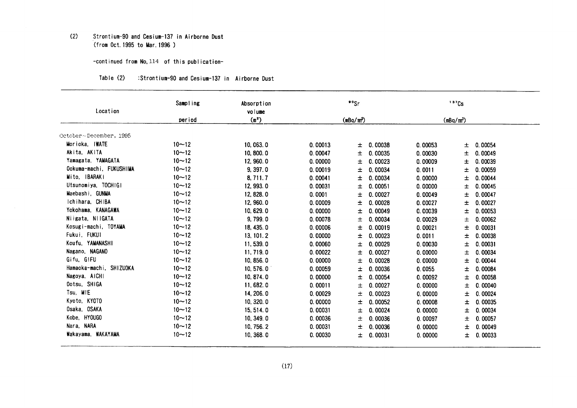#### $(2)$ Strontium-90 and Cesium-137 in Airborne Dust (from Oct. 1995 to Mar. 1996)

## -continued from No. 114 of this publication-

#### Table (2) :Strontium-90 and Cesium-137 in Airborne Dust

| Location                | Sampling  | Absorption<br>volume |         | ""Sr          |         | $137$ Cs              |  |
|-------------------------|-----------|----------------------|---------|---------------|---------|-----------------------|--|
|                         | period    | (m <sup>2</sup> )    |         | $(mBq/m^3)$   |         | (mBq/m <sup>3</sup> ) |  |
|                         |           |                      |         |               |         |                       |  |
| October~December, 1995  |           |                      |         |               |         |                       |  |
| Morioka, IWATE          | $10 - 12$ | 10,063.0             | 0.00013 | 0.00038<br>土  | 0.00053 | 0.00054<br>士          |  |
| Akita, AKITA            | $10 - 12$ | 10, 800.0            | 0.00047 | 0.00035<br>Ŧ. | 0.00030 | 士<br>0.00049          |  |
| Yamagata, YAMAGATA      | $10 - 12$ | 12, 960.0            | 0.00000 | 0.00023<br>±. | 0.00009 | 0.00039<br>士          |  |
| Ookuma-machi, FUKUSHIMA | $10 - 12$ | 9, 397.0             | 0.00019 | 0.00034<br>土  | 0.0011  | 0.00059<br>士          |  |
| Mito, IBARAKI           | $10 - 12$ | 8,711.7              | 0.00041 | 0.00034<br>土  | 0.00000 | 0.00044<br>士          |  |
| Utsunomiya, TOCHIGI     | $10 - 12$ | 12, 993.0            | 0.00031 | 0.00051<br>土  | 0.00000 | 0.00045<br>土          |  |
| Maebashi. GUNMA         | $10 - 12$ | 12, 828.0            | 0.0001  | 0.00027<br>士  | 0.00049 | 0.00047<br>土          |  |
| Ichihara, CHIBA         | $10 - 12$ | 12, 960.0            | 0.00009 | 0.00028<br>±. | 0.00027 | 0.00027<br>土          |  |
| Yokohama, KANAGAWA      | $10 - 12$ | 10, 629.0            | 0.00000 | 0.00049<br>土  | 0.00039 | 0.00053<br>土          |  |
| Niigata, NIIGATA        | $10 - 12$ | 9,799.0              | 0.00078 | 0.00034<br>±  | 0.00029 | 士<br>0.00062          |  |
| Kosugi-machi, TOYAMA    | $10 - 12$ | 18, 435.0            | 0.00006 | 0.00019<br>土  | 0.00021 | 0.00031<br>士          |  |
| Fukui, FUKUI            | $10 - 12$ | 13, 101. 2           | 0.00000 | 0.00023<br>土  | 0.0011  | 0.00038<br>士          |  |
| Koufu, YAMANASHI        | $10 - 12$ | 11,539.0             | 0.00060 | 0.00029<br>士  | 0.00030 | 士<br>0.00031          |  |
| Nagano, NAGANO          | $10 - 12$ | 11, 719.0            | 0.00022 | 0.00027<br>土  | 0.00000 | 0.00034<br>土          |  |
| Gifu, GIFU              | $10 - 12$ | 10, 856.0            | 0.00000 | 0.00028<br>士  | 0.00000 | 0.00044<br>土          |  |
| Hamaoka-machi, SHIZUOKA | $10 - 12$ | 10.576.0             | 0.00059 | 0.00036<br>士  | 0.0055  | 0.00084<br>土          |  |
| Nagoya, AICHI           | $10 - 12$ | 10, 874.0            | 0.00000 | 0.00054<br>士  | 0.00092 | 0.00058<br>士          |  |
| Ootsu, SHIGA            | $10 - 12$ | 11,682.0             | 0.00011 | 0.00027<br>士  | 0.00000 | 0.00040<br>士          |  |
| Tsu MIE                 | $10 - 12$ | 14, 206. 0           | 0.00029 | 0.00023<br>士  | 0.00000 | 0.00024<br>土          |  |
| Kyoto, KYOTO            | $10 - 12$ | 10, 320.0            | 0.00000 | 0.00052<br>士  | 0.00008 | 0.00035<br>士          |  |
| Osaka, OSAKA            | $10 - 12$ | 15, 514.0            | 0.00031 | 0.00024<br>士  | 0.00000 | 0.00034<br>土          |  |
| Kobe, HYOUGO            | $10 - 12$ | 10, 349.0            | 0.00036 | 0.00036<br>士  | 0.00097 | 0.00057<br>士          |  |
| Nara, NARA              | $10 - 12$ | 10, 756, 2           | 0.00031 | 0.00036<br>士  | 0.00000 | 0.00049<br>士          |  |
| Wakayama, WAKAYAMA      | $10 - 12$ | 10, 368.0            | 0.00030 | 士<br>0.00031  | 0.00000 | 0.00033<br>士          |  |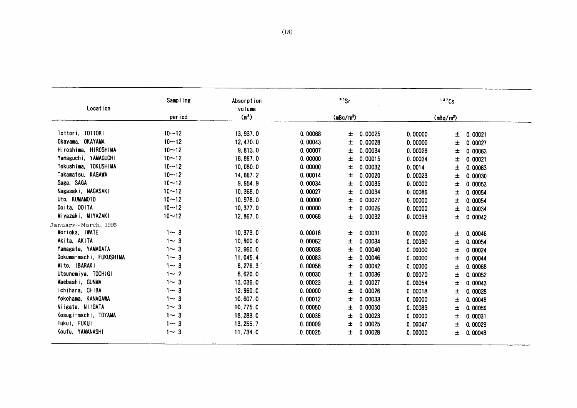| Location                | Sampling   | Absorption<br>volume |         | $90$ Sr               |         | 137Cs                 |         |
|-------------------------|------------|----------------------|---------|-----------------------|---------|-----------------------|---------|
|                         | period     | (m <sup>2</sup> )    |         | (mBq/m <sup>3</sup> ) |         | (mBq/m <sup>3</sup> ) |         |
| Tottori, TOTTORI        | $10 - 12$  | 13, 937.0            | 0.00068 | 0.00025<br>士          | 0.00000 | 士                     | 0.00021 |
| Okayama, OKAYAMA        | $10 - 12$  | 12, 470.0            | 0.00043 | 0.00028<br>土          | 0.00000 | 士                     | 0.00027 |
| Hiroshima, HIROSHIMA    | $10 - 12$  | 9, 813.0             | 0.00007 | 0.00034<br>士          | 0.00028 | 士                     | 0.00063 |
| Yamaguchi, YAMAGUCHI    | $10 - 12$  | 18, 897.0            | 0.00000 | 0.00015<br>土          | 0.00034 | 士                     | 0.00021 |
| Tokushima, TOKUSHIMA    | $10 - 12$  | 10,080.0             | 0.00000 | 0.00032<br>士          | 0.0014  | 土                     | 0.00063 |
| Takamatsu. KAGAWA       | $10 - 12$  | 14, 667.2            | 0.00014 | 0.00020<br>土          | 0.00023 | 土                     | 0.00030 |
| Saga, SAGA              | $10 - 12$  | 9, 954.9             | 0.00034 | 0.00035<br>士          | 0.00000 | 土                     | 0.00053 |
| Nagasaki, NAGASAKI      | $10 - 12$  | 10, 368.0            | 0.00027 | 0.00034<br>士          | 0.00086 | ±                     | 0.00054 |
| Uto, KUMAMOTO           | $10 - 12$  | 10, 978.0            | 0.00000 | 0.00027<br>土          | 0.00000 | 士                     | 0.00054 |
| Ooita, OOITA            | $10 - 12$  | 10, 377.0            | 0.00000 | 0.00026<br>土          | 0.00000 | 土                     | 0.00034 |
| Miyazaki, MIYAZAKI      | $10 - 12$  | 12, 867.0            | 0.00068 | 0.00032<br>±          | 0.00038 | 士                     | 0.00042 |
| January~March, 1996     |            |                      |         |                       |         |                       |         |
| Morioka, IWATE          | $1 - 3$    | 10, 373.0            | 0.00018 | 0.00031<br>土          | 0.00000 | 土                     | 0.00046 |
| Akita, AKITA            | $1 - 3$    | 10,800.0             | 0.00062 | 0.00034<br>ᆂ          | 0.00080 | 士                     | 0.00054 |
| Yamagata, YAMAGATA      | $1 - 3$    | 12, 960.0            | 0.00038 | 0.00040<br>士          | 0.00000 | 土                     | 0.00024 |
| Ookuma-machi, FUKUSHIMA | $1 - 3$    | 11, 045, 4           | 0.00083 | 0.00046<br>土          | 0.00000 | 士                     | 0.00044 |
| Mito, IBARAKI           | $1 - 3$    | 8, 276. 3            | 0.00058 | 0.00042<br>士          | 0.00000 | Ŧ                     | 0.00068 |
| Utsunomiya, TOCHIGI     | $1 - 2$    | 8,620.0              | 0.00030 | 0.00036<br>士          | 0.00070 | 土                     | 0.00052 |
| Maebashi, GUNMA         | $1 - 3$    | 13, 036.0            | 0.00023 | 0.00027<br>士          | 0.00054 | 士                     | 0.00043 |
| Ichihara, CHIBA         | $1 - 3$    | 12, 960.0            | 0.00000 | 0.00026<br>土          | 0.00018 | 士                     | 0.00028 |
| Yokohama. KANAGAWA      | $1 - 3$    | 10,607.0             | 0.00012 | 0.00033<br>土          | 0.00000 | 土                     | 0.00048 |
| Niigata, NIIGATA        | $1 - 3$    | 10, 775.0            | 0.00050 | 0.00050<br>土          | 0.00089 | 土                     | 0.00059 |
| Kosugi-machi, TOYAMA    | $1 \sim 3$ | 18, 283.0            | 0.00038 | 0.00023<br>土          | 0.00000 | 土                     | 0.00031 |
| Fukui, FUKUI            | $1 - 3$    | 13, 255.7            | 0.00009 | 0.00025<br>ᆂ          | 0.00047 | 士                     | 0.00029 |
| Koufu, YAMANASHI        | $1 - 3$    | 11,734.0             | 0.00025 | 0.00028<br>士          | 0.00000 | 土                     | 0.00048 |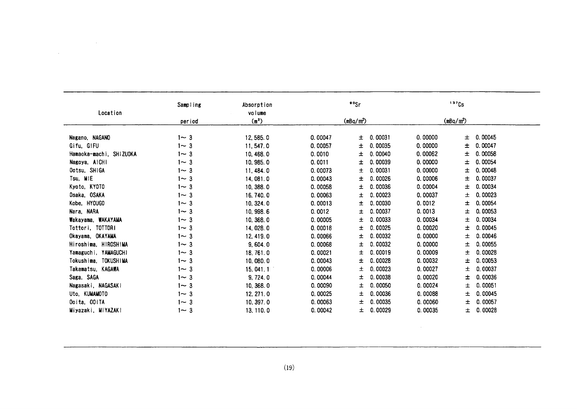| Location                | Sampling | Absorption                  |         | $\frac{90}{5}$ r      |         | 137Cs        |  |
|-------------------------|----------|-----------------------------|---------|-----------------------|---------|--------------|--|
|                         | period   | volume<br>(m <sup>2</sup> ) |         | (mBq/m <sup>3</sup> ) |         | $(mBq/m^3)$  |  |
|                         |          |                             |         |                       |         |              |  |
| Nagano, NAGANO          | $1 - 3$  | 12, 585.0                   | 0.00047 | 0.00031<br>±.         | 0.00000 | 0.00045<br>土 |  |
| Gifu, GIFU              | $1 - 3$  | 11, 547.0                   | 0.00057 | 0.00035<br>士          | 0.00000 | 0.00047<br>士 |  |
| Hamaoka-machi, SHIZUOKA | $1 - 3$  | 10,468.0                    | 0.0010  | 0.00040<br>土          | 0.00062 | 士<br>0.00058 |  |
| Nagoya, AICHI           | $1 - 3$  | 10, 985.0                   | 0.0011  | 0.00039<br>土          | 0.00000 | 0.00054<br>士 |  |
| Ootsu, SHIGA            | $1 - 3$  | 11, 484.0                   | 0.00073 | 0.00031<br>土          | 0.00000 | 士<br>0.00048 |  |
| Tsu, MIE                | $1 - 3$  | 14, 081.0                   | 0.00043 | 0.00026<br>士          | 0.00006 | 0.00037<br>士 |  |
| Kyoto, KYOTO            | $1 - 3$  | 10, 388.0                   | 0.00058 | 0.00036<br>土          | 0.00004 | 士<br>0.00034 |  |
| Osaka, OSAKA            | $1 - 3$  | 16, 740.0                   | 0.00063 | 0.00023<br>士          | 0.00037 | 0.00023<br>士 |  |
| Kobe, HYOUGO            | $1 - 3$  | 10, 324.0                   | 0.00013 | 0.00030<br>土          | 0.0012  | 士<br>0.00054 |  |
| Nara, NARA              | $1 - 3$  | 10, 998.6                   | 0.0012  | 0.00037<br>士          | 0.0013  | 0.00053<br>士 |  |
| Wakayama, WAKAYAMA      | $1 - 3$  | 10, 368.0                   | 0.00005 | 0.00033<br>士          | 0.00034 | 士<br>0.00034 |  |
| Tottori, TOTTORI        | $1 - 3$  | 14, 028.0                   | 0.00018 | 0.00025<br>士          | 0.00020 | 士<br>0.00045 |  |
| Okayama, OKAYAMA        | $1 - 3$  | 12, 419.0                   | 0.00066 | 0.00032<br>士          | 0.00000 | 士<br>0.00046 |  |
| Hiroshima, HIROSHIMA    | $1 - 3$  | 9,604.0                     | 0.00068 | 0.00032<br>士          | 0.00000 | 士<br>0.00055 |  |
| Yamaguchi, YAMAGUCHI    | $1 - 3$  | 18,761.0                    | 0.00021 | 0.00019<br>士          | 0.00009 | 士<br>0.00028 |  |
| Tokushima. TOKUSHIMA    | $1 - 3$  | 10,080.0                    | 0.00043 | 0.00028<br>±.         | 0.00032 | 士<br>0.00053 |  |
| Takamatsu, KAGAWA       | $1 - 3$  | 15, 041.1                   | 0.00006 | 0.00023<br>士          | 0.00027 | 士<br>0.00037 |  |
| Saga, SAGA              | $1 - 3$  | 9,724.0                     | 0.00044 | 0.00038<br>±.         | 0.00020 | 土<br>0.00036 |  |
| Nagasaki, NAGASAKI      | $1 - 3$  | 10, 368.0                   | 0.00090 | 0.00050<br>Ŧ.         | 0.00024 | 0.00051<br>士 |  |
| Uto, KUMAMOTO           | $1 - 3$  | 12, 271.0                   | 0.00025 | 0.00036<br>土          | 0.00088 | 0.00045<br>士 |  |
| Ooita, OOITA            | $1 - 3$  | 10, 397.0                   | 0.00063 | 0.00035<br>土          | 0.00060 | 0.00057<br>士 |  |
| Miyazaki, MIYAZAKI      | $1 - 3$  | 13, 110.0                   | 0.00042 | 0.00029<br>士          | 0.00035 | 0.00028<br>士 |  |
|                         |          |                             |         |                       |         |              |  |
|                         |          |                             |         |                       |         |              |  |
|                         |          |                             |         |                       |         |              |  |

 $\sim$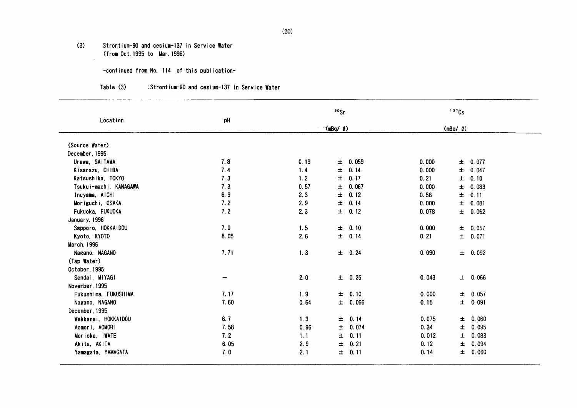#### $(3)$ Strontium-90 and cesium-137 in Service Water (from Oct. 1995 to Mar. 1996)

 $\sim$ 

-continued from No. 114 of this publication-

#### Table (3) :Strontium-90 and cesium-137 in Service Water

|                        |      |      | ${}^{\circ}$ <sup><math>\circ</math></sup> Sr |       | 137Cs          |  |
|------------------------|------|------|-----------------------------------------------|-------|----------------|--|
| Location               | pH   |      | $\langle \text{mBq}/\ell \rangle$             |       | $(mBq/$ $Q)$   |  |
| (Source Water)         |      |      |                                               |       |                |  |
| December, 1995         |      |      |                                               |       |                |  |
| Urawa, SAITAMA         | 7.8  | 0.19 | 0.059<br>士                                    | 0.000 | ± 0.077        |  |
| Kisarazu, CHIBA        | 7.4  | 1.4  | 士<br>0.14                                     | 0.000 | 0.047<br>$\pm$ |  |
| Katsushika, TOKYO      | 7.3  | 1.2  | 0.17<br>士                                     | 0.21  | 0.10<br>±.     |  |
| Tsukui-machi, KANAGAWA | 7.3  | 0.57 | 士<br>0.067                                    | 0.000 | $\pm$<br>0.083 |  |
| Inuyama, AICHI         | 6.9  | 2.3  | 士<br>0.12                                     | 0.56  | 0.11<br>士      |  |
| Moriguchi, OSAKA       | 7.2  | 2.9  | $\pm$<br>0.14                                 | 0.000 | 0.081<br>士     |  |
| Fukuoka, FUKUOKA       | 7.2  | 2.3  | 0.12<br>$\pm$                                 | 0.078 | ± 0.062        |  |
| January, 1996          |      |      |                                               |       |                |  |
| Sapporo, HOKKAIDOU     | 7.0  | 1.5  | 0.10<br>$\pm$                                 | 0.000 | ± 0.057        |  |
| Kyoto, KYOTO           | 8.05 | 2.6  | 0.14<br>士                                     | 0.21  | ± 0.071        |  |
| <b>March, 1996</b>     |      |      |                                               |       |                |  |
| Nagano, NAGANO         | 7.71 | 1.3  | ± 0.24                                        | 0.090 | ± 0.092        |  |
| (Tap Water)            |      |      |                                               |       |                |  |
| October, 1995          |      |      |                                               |       |                |  |
| Sendai, MIYAGI         |      | 2.0  | $\pm 0.25$                                    | 0.043 | $\pm$ 0.066    |  |
| November, 1995         |      |      |                                               |       |                |  |
| Fukushima, FUKUSHIMA   | 7.17 | 1.9  | $\pm$<br>0.10                                 | 0.000 | 0.057<br>±.    |  |
| Nagano, NAGANO         | 7.60 | 0.64 | $\pm$<br>0.066                                | 0.15  | Ŧ<br>0.091     |  |
| December, 1995         |      |      |                                               |       |                |  |
| Wakkanai, HOKKAIDOU    | 6.7  | 1, 3 | 0.14<br>$\pm$                                 | 0.075 | 0.060<br>士     |  |
| Aomori, AOMORI         | 7.58 | 0.96 | 0.074<br>士                                    | 0.34  | 0.095<br>土     |  |
| Morioka, IWATE         | 7.2  | 1.1  | 0.11<br>Ŧ.                                    | 0.012 | 0.083<br>士     |  |
| Akita, AKITA           | 6.05 | 2.9  | 0.21<br>Ŧ.                                    | 0.12  | 0.094<br>土     |  |
| Yamagata, YAMAGATA     | 7.0  | 2.1  | 0.11<br>士                                     | 0.14  | 0.060<br>土     |  |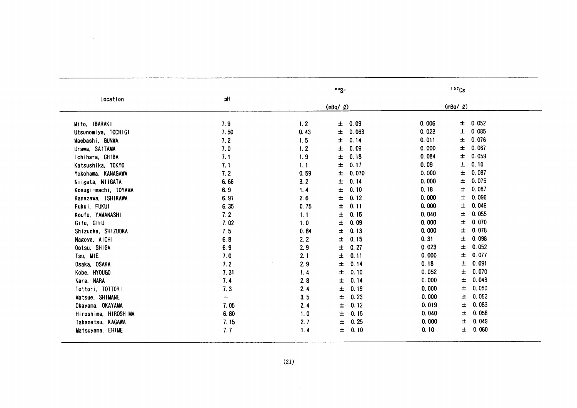| (mBq/2)<br>(mBq/2)<br>0.052<br>7.9<br>1.2<br>0.09<br>0.006<br>土<br>Mito, IBARAKI<br>士<br>0.085<br>±<br>0.023<br>$\pm$<br>0.063<br>7.50<br>0.43<br>Utsunomiya, TOCHIGI<br>Ŧ<br>$\pm$<br>0.076<br>0.14<br>0.011<br>7.2<br>1.5<br>Maebashi, GUNMA<br>$\pm$<br>0.067<br>$\pm$<br>0.09<br>0.000<br>7.0<br>1, 2<br>Urawa, SAITAMA<br>$\pm$<br>0.059<br>±<br>0.084<br>7.1<br>1.9<br>0.18<br>Ichihara, CHIBA<br>0.10<br>$\pm$<br>0.17<br>0.09<br>Ŧ<br>7.1<br>1.1<br>Katsushika, TOKYO<br>$\pm$<br>0.087<br>0.000<br>7.2<br>±<br>0.070<br>0.59<br>Yokohama, KANAGAWA<br>0.075<br>±<br>0.000<br>士<br>3.2<br>0.14<br>6.66<br>Niigata, NIIGATA<br>$\pm$<br>0.087<br>0.18<br>6.9<br>±<br>0.10<br>1.4<br>Kosugi-machi, TOYAMA<br>0.096<br>$\pm$<br>0.000<br>士<br>0.12<br>6.91<br>2.6<br>Kanazawa, ISHIKAWA<br>0.049<br>0.000<br>士<br>$\pm$<br>0.11<br>6.35<br>0.75<br>Fukui, FUKUI<br>0.055<br>土<br>7.2<br>0.15<br>0.040<br>1.1<br>Ŧ<br>Koufu, YAMANASHI<br>0.070<br>0.000<br>$\pm$<br>$\pm$<br>0.09<br>7.02<br>1.0<br>Gifu, GIFU<br>0.078<br>0.000<br>士<br>$\pm$<br>0.13<br>7.5<br>Shizuoka, SHIZUOKA<br>0.84<br>0.098<br>0.31<br>0.15<br>士<br>6.8<br>2.2<br>Ŧ<br>Nagoya, AICHI<br>0.052<br>$\pm$<br>0.27<br>0.023<br>±.<br>2.9<br>Ootsu, SHIGA<br>6.9<br>0.077<br>$\pm$<br>$\pm$<br>0.11<br>0.000<br>2.1<br>Tsu, MIE<br>7.0<br>0.091<br>0.18<br>士<br>7.2<br>$\pm$<br>0.14<br>2.9<br>Osaka, OSAKA<br>0.070<br>Ŧ<br>7.31<br>士<br>0.10<br>0.052<br>Kobe, HYOUGO<br>1.4<br>0.048<br>0.000<br>士<br>7.4<br>0.14<br>2.8<br>士<br>Nara, NARA<br>0.050<br>2.4<br>0.19<br>0.000<br>土<br>7.3<br>$\pm$<br>Tottori, TOTTORI<br>0.052<br>Ŧ.<br>0.23<br>0.000<br>3.5<br>$\pm$<br>Matsue, SHIMANE<br>$\overline{\phantom{0}}$<br>0.083<br>0.12<br>0.019<br>士<br>2.4<br>$\pm$<br>Okayama, OKAYAMA<br>7.05<br>0.058<br>0.040<br>6.80<br>0.15<br>士<br>1.0<br>士<br>Hiroshima, HIROSHIMA<br>0.049<br>Ŧ<br>0.25<br>0.000<br>7.15<br>2.7<br>$\pm$<br>Takamatsu, KAGAWA<br>0.060<br>$\pm$<br>0.10<br>0.10<br>7.7<br>1.4<br>$\pm$<br>Matsuyama, EHIME<br>(21)<br>$\sim 10^{-1}$ | Location |    | ${}^{\circ}$ °Sr | 137Cs |  |
|-------------------------------------------------------------------------------------------------------------------------------------------------------------------------------------------------------------------------------------------------------------------------------------------------------------------------------------------------------------------------------------------------------------------------------------------------------------------------------------------------------------------------------------------------------------------------------------------------------------------------------------------------------------------------------------------------------------------------------------------------------------------------------------------------------------------------------------------------------------------------------------------------------------------------------------------------------------------------------------------------------------------------------------------------------------------------------------------------------------------------------------------------------------------------------------------------------------------------------------------------------------------------------------------------------------------------------------------------------------------------------------------------------------------------------------------------------------------------------------------------------------------------------------------------------------------------------------------------------------------------------------------------------------------------------------------------------------------------------------------------------------------------------------------------------------------------------------------------------------------------------------------------------------------------------------------------------------------------------------------------------------------------------------------|----------|----|------------------|-------|--|
|                                                                                                                                                                                                                                                                                                                                                                                                                                                                                                                                                                                                                                                                                                                                                                                                                                                                                                                                                                                                                                                                                                                                                                                                                                                                                                                                                                                                                                                                                                                                                                                                                                                                                                                                                                                                                                                                                                                                                                                                                                           |          | pH |                  |       |  |
|                                                                                                                                                                                                                                                                                                                                                                                                                                                                                                                                                                                                                                                                                                                                                                                                                                                                                                                                                                                                                                                                                                                                                                                                                                                                                                                                                                                                                                                                                                                                                                                                                                                                                                                                                                                                                                                                                                                                                                                                                                           |          |    |                  |       |  |
|                                                                                                                                                                                                                                                                                                                                                                                                                                                                                                                                                                                                                                                                                                                                                                                                                                                                                                                                                                                                                                                                                                                                                                                                                                                                                                                                                                                                                                                                                                                                                                                                                                                                                                                                                                                                                                                                                                                                                                                                                                           |          |    |                  |       |  |
|                                                                                                                                                                                                                                                                                                                                                                                                                                                                                                                                                                                                                                                                                                                                                                                                                                                                                                                                                                                                                                                                                                                                                                                                                                                                                                                                                                                                                                                                                                                                                                                                                                                                                                                                                                                                                                                                                                                                                                                                                                           |          |    |                  |       |  |
|                                                                                                                                                                                                                                                                                                                                                                                                                                                                                                                                                                                                                                                                                                                                                                                                                                                                                                                                                                                                                                                                                                                                                                                                                                                                                                                                                                                                                                                                                                                                                                                                                                                                                                                                                                                                                                                                                                                                                                                                                                           |          |    |                  |       |  |
|                                                                                                                                                                                                                                                                                                                                                                                                                                                                                                                                                                                                                                                                                                                                                                                                                                                                                                                                                                                                                                                                                                                                                                                                                                                                                                                                                                                                                                                                                                                                                                                                                                                                                                                                                                                                                                                                                                                                                                                                                                           |          |    |                  |       |  |
|                                                                                                                                                                                                                                                                                                                                                                                                                                                                                                                                                                                                                                                                                                                                                                                                                                                                                                                                                                                                                                                                                                                                                                                                                                                                                                                                                                                                                                                                                                                                                                                                                                                                                                                                                                                                                                                                                                                                                                                                                                           |          |    |                  |       |  |
|                                                                                                                                                                                                                                                                                                                                                                                                                                                                                                                                                                                                                                                                                                                                                                                                                                                                                                                                                                                                                                                                                                                                                                                                                                                                                                                                                                                                                                                                                                                                                                                                                                                                                                                                                                                                                                                                                                                                                                                                                                           |          |    |                  |       |  |
|                                                                                                                                                                                                                                                                                                                                                                                                                                                                                                                                                                                                                                                                                                                                                                                                                                                                                                                                                                                                                                                                                                                                                                                                                                                                                                                                                                                                                                                                                                                                                                                                                                                                                                                                                                                                                                                                                                                                                                                                                                           |          |    |                  |       |  |
|                                                                                                                                                                                                                                                                                                                                                                                                                                                                                                                                                                                                                                                                                                                                                                                                                                                                                                                                                                                                                                                                                                                                                                                                                                                                                                                                                                                                                                                                                                                                                                                                                                                                                                                                                                                                                                                                                                                                                                                                                                           |          |    |                  |       |  |
|                                                                                                                                                                                                                                                                                                                                                                                                                                                                                                                                                                                                                                                                                                                                                                                                                                                                                                                                                                                                                                                                                                                                                                                                                                                                                                                                                                                                                                                                                                                                                                                                                                                                                                                                                                                                                                                                                                                                                                                                                                           |          |    |                  |       |  |
|                                                                                                                                                                                                                                                                                                                                                                                                                                                                                                                                                                                                                                                                                                                                                                                                                                                                                                                                                                                                                                                                                                                                                                                                                                                                                                                                                                                                                                                                                                                                                                                                                                                                                                                                                                                                                                                                                                                                                                                                                                           |          |    |                  |       |  |
|                                                                                                                                                                                                                                                                                                                                                                                                                                                                                                                                                                                                                                                                                                                                                                                                                                                                                                                                                                                                                                                                                                                                                                                                                                                                                                                                                                                                                                                                                                                                                                                                                                                                                                                                                                                                                                                                                                                                                                                                                                           |          |    |                  |       |  |
|                                                                                                                                                                                                                                                                                                                                                                                                                                                                                                                                                                                                                                                                                                                                                                                                                                                                                                                                                                                                                                                                                                                                                                                                                                                                                                                                                                                                                                                                                                                                                                                                                                                                                                                                                                                                                                                                                                                                                                                                                                           |          |    |                  |       |  |
|                                                                                                                                                                                                                                                                                                                                                                                                                                                                                                                                                                                                                                                                                                                                                                                                                                                                                                                                                                                                                                                                                                                                                                                                                                                                                                                                                                                                                                                                                                                                                                                                                                                                                                                                                                                                                                                                                                                                                                                                                                           |          |    |                  |       |  |
|                                                                                                                                                                                                                                                                                                                                                                                                                                                                                                                                                                                                                                                                                                                                                                                                                                                                                                                                                                                                                                                                                                                                                                                                                                                                                                                                                                                                                                                                                                                                                                                                                                                                                                                                                                                                                                                                                                                                                                                                                                           |          |    |                  |       |  |
|                                                                                                                                                                                                                                                                                                                                                                                                                                                                                                                                                                                                                                                                                                                                                                                                                                                                                                                                                                                                                                                                                                                                                                                                                                                                                                                                                                                                                                                                                                                                                                                                                                                                                                                                                                                                                                                                                                                                                                                                                                           |          |    |                  |       |  |
|                                                                                                                                                                                                                                                                                                                                                                                                                                                                                                                                                                                                                                                                                                                                                                                                                                                                                                                                                                                                                                                                                                                                                                                                                                                                                                                                                                                                                                                                                                                                                                                                                                                                                                                                                                                                                                                                                                                                                                                                                                           |          |    |                  |       |  |
|                                                                                                                                                                                                                                                                                                                                                                                                                                                                                                                                                                                                                                                                                                                                                                                                                                                                                                                                                                                                                                                                                                                                                                                                                                                                                                                                                                                                                                                                                                                                                                                                                                                                                                                                                                                                                                                                                                                                                                                                                                           |          |    |                  |       |  |
|                                                                                                                                                                                                                                                                                                                                                                                                                                                                                                                                                                                                                                                                                                                                                                                                                                                                                                                                                                                                                                                                                                                                                                                                                                                                                                                                                                                                                                                                                                                                                                                                                                                                                                                                                                                                                                                                                                                                                                                                                                           |          |    |                  |       |  |
|                                                                                                                                                                                                                                                                                                                                                                                                                                                                                                                                                                                                                                                                                                                                                                                                                                                                                                                                                                                                                                                                                                                                                                                                                                                                                                                                                                                                                                                                                                                                                                                                                                                                                                                                                                                                                                                                                                                                                                                                                                           |          |    |                  |       |  |
|                                                                                                                                                                                                                                                                                                                                                                                                                                                                                                                                                                                                                                                                                                                                                                                                                                                                                                                                                                                                                                                                                                                                                                                                                                                                                                                                                                                                                                                                                                                                                                                                                                                                                                                                                                                                                                                                                                                                                                                                                                           |          |    |                  |       |  |
|                                                                                                                                                                                                                                                                                                                                                                                                                                                                                                                                                                                                                                                                                                                                                                                                                                                                                                                                                                                                                                                                                                                                                                                                                                                                                                                                                                                                                                                                                                                                                                                                                                                                                                                                                                                                                                                                                                                                                                                                                                           |          |    |                  |       |  |
|                                                                                                                                                                                                                                                                                                                                                                                                                                                                                                                                                                                                                                                                                                                                                                                                                                                                                                                                                                                                                                                                                                                                                                                                                                                                                                                                                                                                                                                                                                                                                                                                                                                                                                                                                                                                                                                                                                                                                                                                                                           |          |    |                  |       |  |
|                                                                                                                                                                                                                                                                                                                                                                                                                                                                                                                                                                                                                                                                                                                                                                                                                                                                                                                                                                                                                                                                                                                                                                                                                                                                                                                                                                                                                                                                                                                                                                                                                                                                                                                                                                                                                                                                                                                                                                                                                                           |          |    |                  |       |  |
|                                                                                                                                                                                                                                                                                                                                                                                                                                                                                                                                                                                                                                                                                                                                                                                                                                                                                                                                                                                                                                                                                                                                                                                                                                                                                                                                                                                                                                                                                                                                                                                                                                                                                                                                                                                                                                                                                                                                                                                                                                           |          |    |                  |       |  |
|                                                                                                                                                                                                                                                                                                                                                                                                                                                                                                                                                                                                                                                                                                                                                                                                                                                                                                                                                                                                                                                                                                                                                                                                                                                                                                                                                                                                                                                                                                                                                                                                                                                                                                                                                                                                                                                                                                                                                                                                                                           |          |    |                  |       |  |
|                                                                                                                                                                                                                                                                                                                                                                                                                                                                                                                                                                                                                                                                                                                                                                                                                                                                                                                                                                                                                                                                                                                                                                                                                                                                                                                                                                                                                                                                                                                                                                                                                                                                                                                                                                                                                                                                                                                                                                                                                                           |          |    |                  |       |  |
|                                                                                                                                                                                                                                                                                                                                                                                                                                                                                                                                                                                                                                                                                                                                                                                                                                                                                                                                                                                                                                                                                                                                                                                                                                                                                                                                                                                                                                                                                                                                                                                                                                                                                                                                                                                                                                                                                                                                                                                                                                           |          |    |                  |       |  |
|                                                                                                                                                                                                                                                                                                                                                                                                                                                                                                                                                                                                                                                                                                                                                                                                                                                                                                                                                                                                                                                                                                                                                                                                                                                                                                                                                                                                                                                                                                                                                                                                                                                                                                                                                                                                                                                                                                                                                                                                                                           |          |    |                  |       |  |
|                                                                                                                                                                                                                                                                                                                                                                                                                                                                                                                                                                                                                                                                                                                                                                                                                                                                                                                                                                                                                                                                                                                                                                                                                                                                                                                                                                                                                                                                                                                                                                                                                                                                                                                                                                                                                                                                                                                                                                                                                                           |          |    |                  |       |  |
|                                                                                                                                                                                                                                                                                                                                                                                                                                                                                                                                                                                                                                                                                                                                                                                                                                                                                                                                                                                                                                                                                                                                                                                                                                                                                                                                                                                                                                                                                                                                                                                                                                                                                                                                                                                                                                                                                                                                                                                                                                           |          |    |                  |       |  |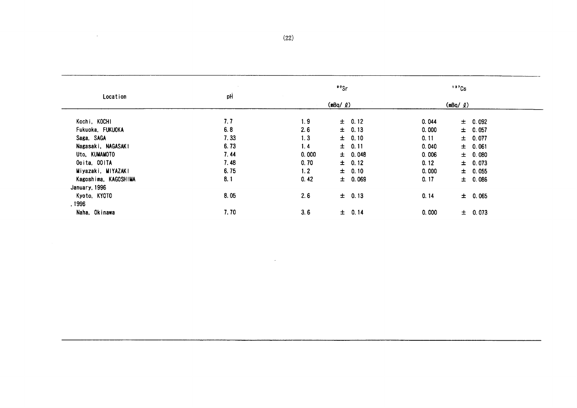| Location              | pH   |       | ${}^{\circ}$ °Sr |       | $137$ Cs          |  |
|-----------------------|------|-------|------------------|-------|-------------------|--|
|                       |      |       | $(mBq / \ell)$   |       | $(mBq / \varrho)$ |  |
| Kochi, KOCHI          | 7.7  | 1.9   | $\pm$ 0.12       | 0.044 | $\pm$ 0.092       |  |
| Fukuoka, FUKUOKA      | 6.8  | 2.6   | $\pm$ 0.13       | 0.000 | $\pm 0.057$       |  |
| Saga, SAGA            | 7.33 | 1.3   | $\pm$ 0.10       | 0.11  | ± 0.077           |  |
| Nagasaki, NAGASAKI    | 6.73 | 1.4   | $\pm$ 0.11       | 0.040 | ± 0.061           |  |
| Uto, KUMAMOTO         | 7.44 | 0.000 | $\pm 0.048$      | 0.006 | $\pm$ 0.080       |  |
| Ooita, OOITA          | 7.48 | 0.70  | $\pm$ 0.12       | 0.12  | $\pm$ 0.073       |  |
| Miyazaki, MIYAZAKI    | 6.75 | 1.2   | $\pm$ 0.10       | 0.000 | $\pm$ 0.055       |  |
| Kagoshima, KAGOSHIMA  | 8.1  | 0.42  | $\pm$ 0.069      | 0.17  | 0.086<br>士        |  |
| January, 1996         |      |       |                  |       |                   |  |
| Kyoto, KYOTO<br>.1996 | 8.05 | 2.6   | $\pm$ 0.13       | 0.14  | $\pm$ 0.065       |  |
| Naha, Okinawa         | 7.70 | 3.6   | ± 0.14           | 0.000 | $\pm 0.073$       |  |

 $\bar{z}$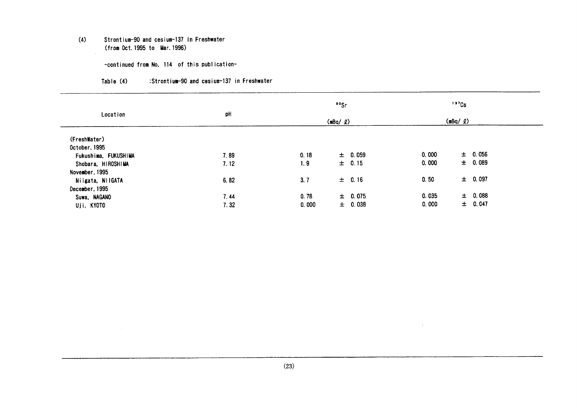#### $(4)$ Strontium-90 and cesium-137 in Freshwater (from Oct. 1995 to Mar. 1996)

 $\sim 10$ 

-continued from No, 114 of this publication-

| Table (4) | :Strontium-90 and cesium-137 in Freshwater |  |  |  |
|-----------|--------------------------------------------|--|--|--|
|-----------|--------------------------------------------|--|--|--|

|                      |      |       | ${}^{\circ}{}^{\circ}$ Sr | $137$ Cs       |             |
|----------------------|------|-------|---------------------------|----------------|-------------|
| Location             | pH   |       | $(mBq / \ell)$            | $(mBq / \ell)$ |             |
| (FreshWater)         |      |       |                           |                |             |
| October, 1995        |      |       |                           |                |             |
| Fukushima, FUKUSHIMA | 7.89 | 0.18  | $\pm 0.059$               | 0.000          | $\pm 0.056$ |
| Shobara, HIROSHIMA   | 7.12 | 1.9   | $\pm 0.15$                | 0.000          | $\pm$ 0.089 |
| November, 1995       |      |       |                           |                |             |
| Niigata, NilGATA     | 6.82 | 3.7   | $\pm$ 0.16                | 0.50           | $\pm 0.097$ |
| December, 1995       |      |       |                           |                |             |
| Suwa, NAGANO         | 7.44 | 0.78  | ± 0.075                   | 0.035          | $\pm$ 0.088 |
| Uji, KYOTO           | 7.32 | 0,000 | $\pm$ 0.038               | 0.000          | $\pm$ 0.047 |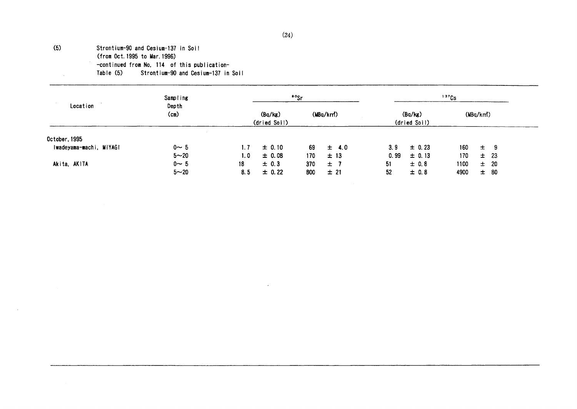## $(24)$

### $(5)$ Strontium-90 and Cesium-137 in Soil (from Oct. 1995 to Mar. 1996) -continued from No. 114 of this publication-

Table (5) Strontium-90 and Cesium-137 in Soil

|                         | Sampling               |                  |                         | <sup>90</sup> Sr |           |      |                         | 137Cs |          |          |
|-------------------------|------------------------|------------------|-------------------------|------------------|-----------|------|-------------------------|-------|----------|----------|
| Location                | Depth<br>$\text{(cm)}$ |                  | (Bq/kg)<br>(dried Soil) |                  | (MBq/km)  |      | (Bq/kg)<br>(dried Soil) |       | (MBq/km) |          |
| October, 1995           |                        |                  |                         |                  |           |      |                         |       |          |          |
| Iwadeyama-machi, MIYAGI | $0 \sim 5$             | 1.7              | $\pm 0.10$              | 69               | $\pm$ 4.0 | 3.9  | $\pm$ 0.23              | 160   | $\pm$    | - 9      |
|                         | $5 - 20$               | 1.0 <sub>1</sub> | $\pm$ 0.08              | 170              | ±13       | 0.99 | $\pm 0.13$              | 170   |          | $\pm$ 23 |
| Akita, AKiTA            | $0 - 5$                | 18               | ± 0.3                   | 370              | ±7        | 51   | $\pm$ 0.8               | 1100  |          | ± 20     |
|                         | $5 - 20$               | 8.5              | $\pm$ 0.22              | 800              | ±21       | 52   | $\pm$ 0.8               | 4900  | 士        | -80      |

 $\mathcal{L}$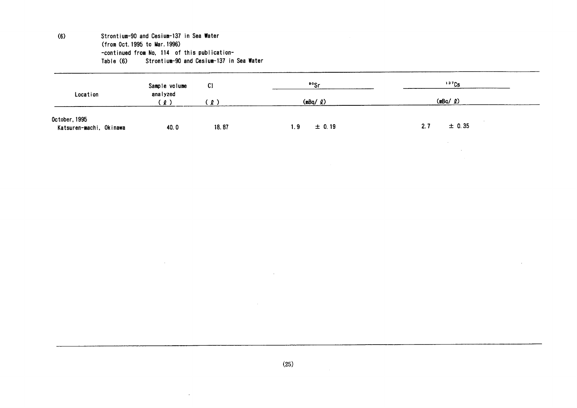#### $(6)$ Strontium-90 and Cesium-137 in Sea Water (from Oct. 1995 to Mar. 1996) -continued from No, 114 of this publication-Strontium-90 and Cesium-137 in Sea Water Table (6)

| Location                                 | Sample volume<br>analyzed<br>$^{\circ}$ 0 $^{\circ}$ | C <sub>1</sub>       | <sup>90</sup> Sr  | 137Cs         |  |
|------------------------------------------|------------------------------------------------------|----------------------|-------------------|---------------|--|
|                                          |                                                      | $\mathbf{2}^{\circ}$ | $(mBq / \varrho)$ | (mBq/2)       |  |
| October, 1995<br>Katsuren-machi, Okinawa | 40.0                                                 | 18.87                | $\pm 0.19$<br>1.9 | ± 0.35<br>2.7 |  |

 $\sim$ 

 $(25)$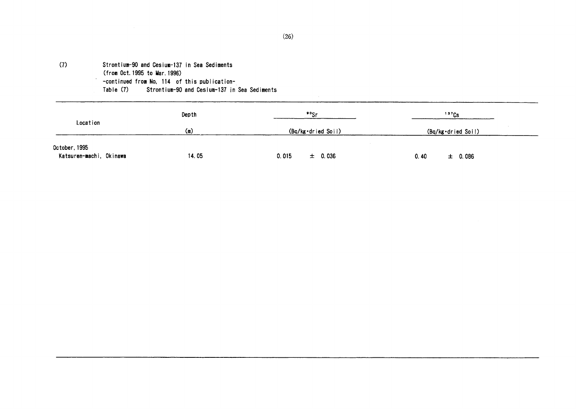#### $(7)$ Strontium-90 and Cesium-137 in Sea Sediments

(from Oct. 1995 to Mar. 1996)

- -continued from No. 114 of this publication-
- Table (7) Strontium-90 and Cesium-137 in Sea Sediments

|                                          | Depth | $\frac{80}{5}$       | 137Cs               |  |
|------------------------------------------|-------|----------------------|---------------------|--|
| Location                                 | (m)   | (Bq/kg·dried Soil)   | (Bq/kg·dried Soil)  |  |
| October, 1995<br>Katsuren-machi, Okinawa | 14.05 | 0.015<br>$\pm$ 0.036 | $\pm$ 0.086<br>0.40 |  |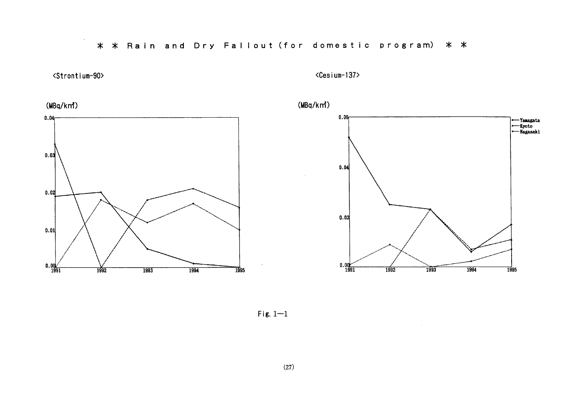## \* \* Rain and Dry Fallout (for domestic program) \* \*



 $\sim$ 

<Cesium-137>







 $\mathcal{L}$ 



Fig.  $1-1$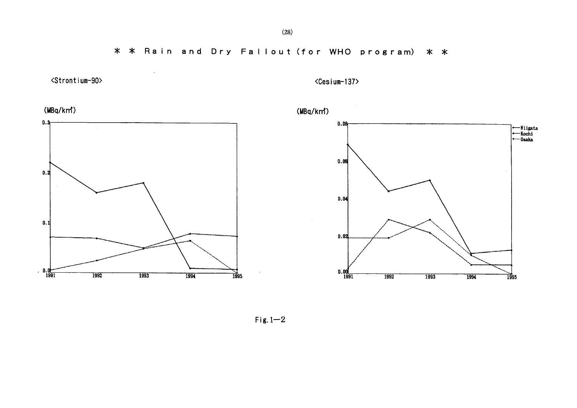\* \* Rain and Dry Fallout (for WHO program) \* \*



<Cesium-137>





 $\sim$   $\sim$ 





 $Fix.1-2$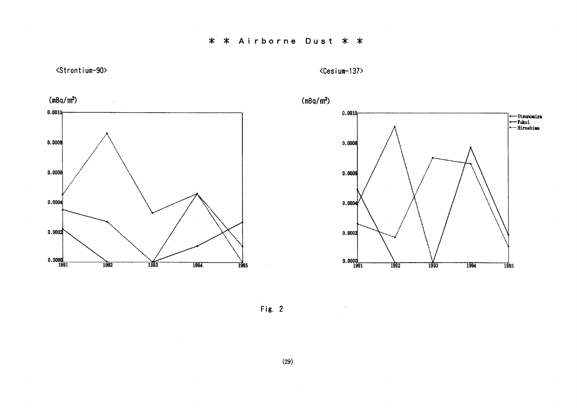<Strontium-90>

<Cesium-137>



 $\sim 10^{-1}$ 





Fig.  $2$ 

 $(29)$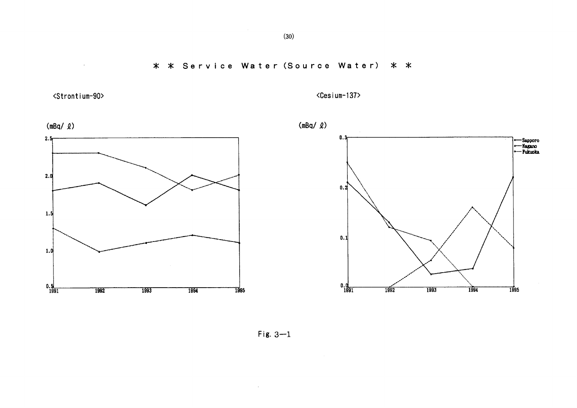\* \* Service Water (Source Water) \* \*

<Strontium-90>

 $\mathcal{L}^{\pm}$ 

<Cesium-137>



Fig.  $3-1$ 

 $\sim 10^7$ 

 $(30)$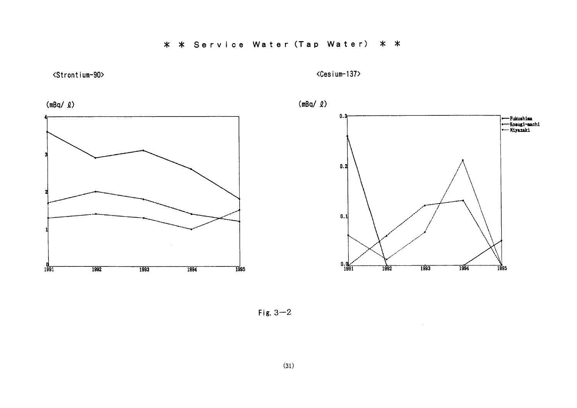<Strontium-90>

<Cesium-137>







Fig.  $3-2$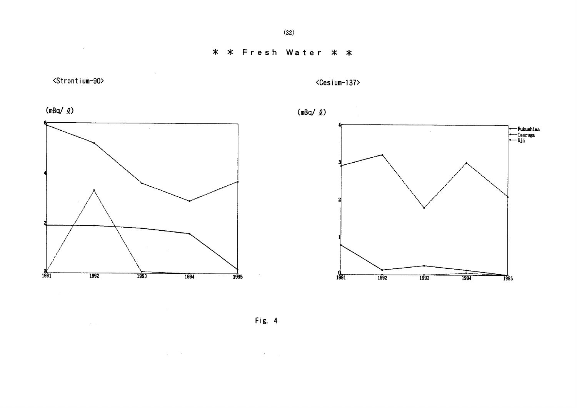<Strontium-90>

 $\sim 20\,M_{\odot}$ 

 $\sim$ 

<Cesium-137>







 $\sim 10$ 



Fig. 4

 $\mathcal{L}^{\mathcal{L}}$  and the following the state of the state of the state of the state of the state of the state of the state of the state of the state of the state of the state of the state of the state of the state of the s

 $\sim 10^7$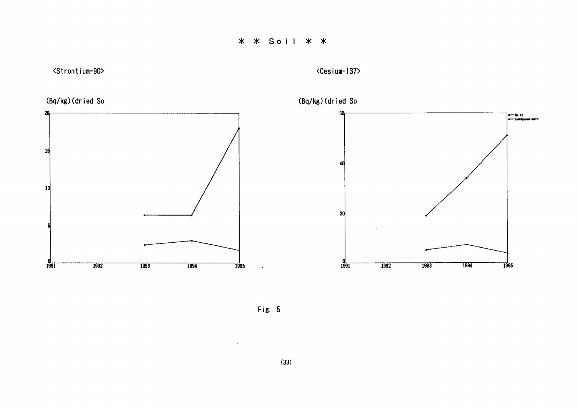# \* \* Soil \* \*

<Strontium-90>

 $\mathcal{L}^{\text{max}}_{\text{max}}$ 









 $\sim$ 



Fig. 5

 $\sim 10^7$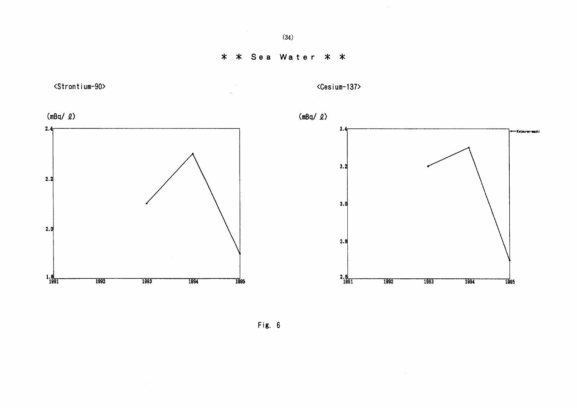$\sim 10^7$ 

\* \* Sea Water \* \*



Fig. 6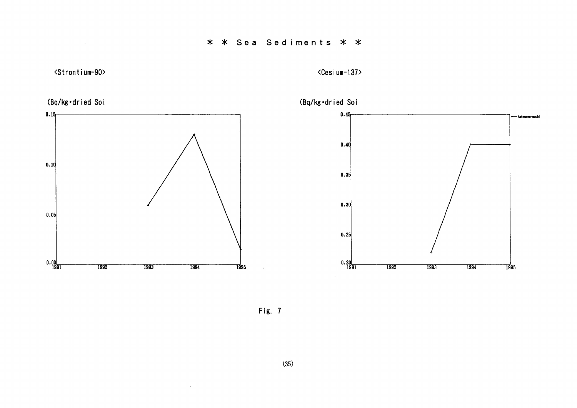\* \* Sea Sediments \* \*



 $\sim 100$ 

<Cesium-137>



Fig. 7